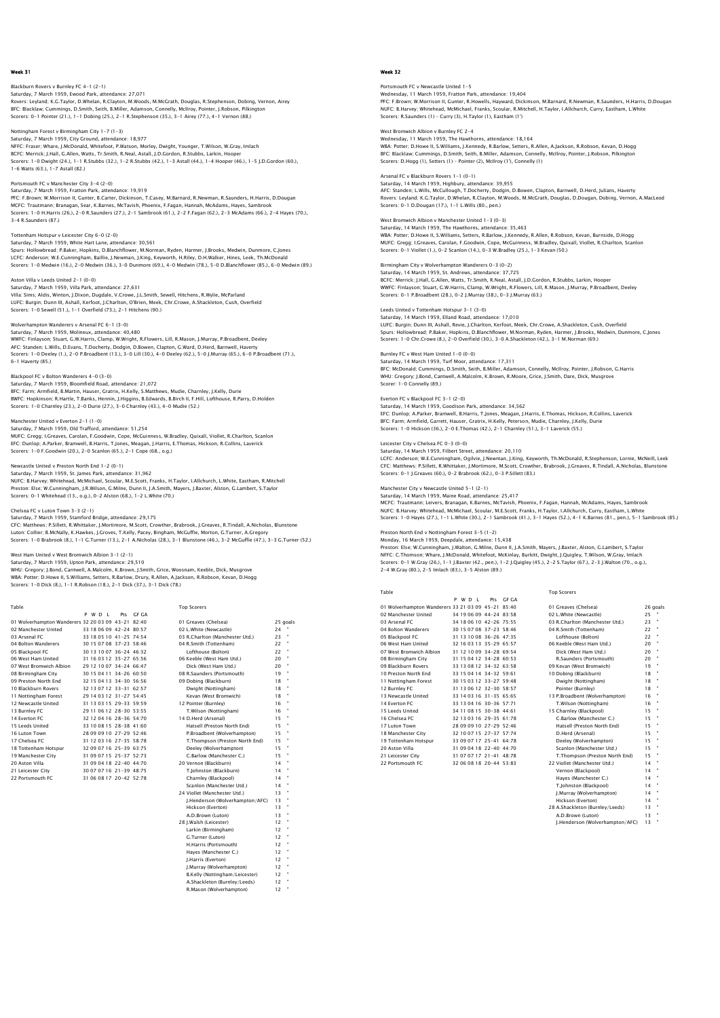Blackburn Rovers v Burnley FC 4-1 (2-1) Saturday, 7 March 1959, Ewood Park, attendance: 27,071<br>Rovers: Leyland; K.G.Taylor, D.Whelan, R.Clayton, M.Woods, M.McGrath, Douglas, R.Stephenson, Dobing, Vernon, Airey<br>BFC: Blacklaw; Cummings, D.Smith, Seith, B.Miller, A Scorers: 0-1 Pointer (21.), 1-1 Dobing (25.), 2-1 R.Stephenson (35.), 3-1 Airey (77.), 4-1 Vernon (88.)

Nottingham Forest v Birmingham City 1-7 (1-3)

Saturday, 7 March 1959, City Ground, attendance: 18,977 NFFC: Fraser; Whare, J.McDonald, Whitefoot, P.Watson, Morley, Dwight, Younger, T.Wilson, W.Gray, Imlach BCFC: Merrick; J.Hall, G.Allen, Watts, Tr.Smith, R.Neal, Astall, J.D.Gordon, R.Stubbs, Larkin, Hoope Scorers: 1-0 Dwight (24.), 1-1 R.Stubbs (32.), 1-2 R.Stubbs (42.), 1-3 Astall (44.), 1-4 Hooper (46.), 1-5 J.D.Gordon (60.), 1-6 Watts (63.), 1-7 Astall (82.)

Portsmouth FC v Manchester City 3-4 (2-0) Saturday, 7 March 1959, Fratton Park, attendance: 19,919

PFC: F.Brown; W.Morrison II, Gunter, B.Carter, Dickinson, T.Casey, M.Barnard, R.Newman, R.Saunders, H.Harris, D.Dougan<br>MCFC: Trautmann; Branagan, Sear, K.Barnes, McTavish, Phoenix, F.Fagan, Hannah, McAdams, Hayes, Sambrook

Saturday, 7 March 1959, White Hart Lane, attendance: 30,561 Spurs: Hollowbread; P.Baker, Hopkins, D.Blanchflower, M.Norman, Ryden, Harmer, J.Brooks, Medwin, Dunmore, C.Jones LCFC: Anderson; W.E.Cunningham, Baillie, J.Newman, J.King, Keyworth, H.Riley, D.H.Walker, Hines, Leek, Th.McDonald<br>Scorers: 1–0 Medwin (16.), 2–0 Medwin (36.), 3–0 Dunmore (69.), 4–0 Medwin (78.), 5–0 D.Blanchflower (85.),

#### Aston Villa v Leeds United 2-1 (0-0) Saturday, 7 March 1959, Villa Park, attendance: 27,631

Tottenham Hotspur v Leicester City 6-0 (2-0)

Villa: Sims; Aldis, Winton, J.Dixon, Dugdale, V.Crowe, J.L.Smith, Sewell, Hitchens, R.Wylie, McParland<br>LUFC: Burgin; Dunn III, Ashall, Kerfoot, J.Charlton, O'Brien, Meek, Chr.Crowe, A.Shackleton, Cush, Overfield<br>Scorers: 1

## Wolverhampton Wanderers v Arsenal FC 6-1 (3-0)

Saturday, 7 March 1959, Molineux, attendance: 40,480 WWFC: Finlayson; Stuart, G.W.Harris, Clamp, W.Wright, R.Flowers, Lill, R.Mason, J.Murray, P.Broadbent, Deeley AFC: Standen; L.Wills, D.Evans, T.Docherty, Dodgin, D.Bowen, Clapton, G.Ward, D.Herd, Barnwell, Haverty<br>Scorers: 1–0 Deeley (1.), 2–0 P.Broadbent (13.), 3–0 Lill (30.), 4–0 Deeley (62.), 5–0 J.Murray (65.), 6–0 P.Broadbent 6-1 Haverty (85.)

## bol FC v Bolton Wanderers 4-0 (3-0)

Saturday, 7 March 1959, Bloomfield Road, attendance: 21,072 BFC: Farm; Armfield, B.Martin, Hauser, Gratrix, H.Kelly, S.Matthews, Mudie, Charnley, J.Kelly, Durie BWFC: Hopkinson; R.Hartle, T.Banks, Hennin, J.Higgins, B.Edwards, B.Birch II, F.Hill, Lofthouse, R.Parry, D.Holden Scorers: 1-0 Charnley (23.), 2-0 Durie (27.), 3-0 Charnley (43.), 4-0 Mudie (52.)

## Manchester United v Everton 2-1 (1-0)

Saturday, 7 March 1959, Old Trafford, attendance: 51,254 MUFC: Gregg; I.Greaves, Carolan, F.Goodwin, Cope, McGuinness, W.Bradley, Quixall, Viollet, R.Charlton, Scanlon EFC: Dunlop; A.Parker, Bramwell, B.Harris, T.Jones, Meagan, J.Harris, E.Thomas, Hickson, R.Collins, Laverick Scorers: 1-0 F.Goodwin (20.), 2-0 Scanlon (65.), 2-1 Cope (68., o.g.)

### Newcastle United v Preston North End 1-2 (0-1)

Saturday, 7 March 1959, St. James Park, attendance: 31,962 NUFC: B.Harvey; Whitehead, McMichael, Scoular, M.E.Scott, Franks, H.Taylor, I.Allchurch, L.White, Eastham, R.Mitchell Preston: Else; W.Cunningham, J.R.Wilson, G.Milne, Dunn II, J.A.Smith, Mayers, J.Baxter, Alston, G.Lambert, S.Taylor Scorers: 0-1 Whitehead (13., o.g.), 0-2 Alston (68.), 1-2 L.White (70.)

### Chelsea FC v Luton Town 3-3 (2-1)

Saturday, 7 March 1959, Stamford Bridge, attendance: 29,175 CFC: Matthews; P.Sillett, R.Whittaker, J.Mortimore, M.Scott, Crowther, Brabrook, J.Greaves, R.Tindall, A.Nicholas, Blunstone<br>Luton: Collier; B.McNally, K.Hawkes, J.Groves, T.Kelly, Pacey, Bingham, McGuffie, Morton, G.Turne

#### West Ham United v West Bromwich Albion 3-1 (2-1)

Saturday, 7 March 1959, Upton Park, attendance: 29,510<br>WHU: Gregory: J.Bond, Cantwell, A.Malcolm, K.Brown, J.Smith, Grice, Woosnam, Keeble, Dick, Musgrove<br>WBA: Potter: D.Howe II, S.Williams, Setters, R.Barlow, Drury, R.All

 Table Top Scorers P W D L Pts GF GA 01 Wolverhampton Wanderers 32 20 03 09 43-21 82:40 01 Greaves (Chelsea) 25 goals 02 Manchester United 33 18 06 09 42-24 80:57 02 L.White (Newcastle) 24 " 03 Arsenal FC 33 18 05 10 41-25 74:54 03 R.Charlton (Manchester Utd.) 23 19<br>
03 Arsenal FC 30 18 07 08 37-23 58:46 04 R.Smith (Tottenham) 22 1<br>
04 Bolton Wanderers 30 15 07 08 37-23 58:46 04 R.Smith (Tottenham) 22 1<br>
05 Ba 04 Bolton Wanderers 30 15 07 08 37-23 58:46 04 R.Smith (Tottenham) 22 " 05 Blackpool FC 30 13 10 07 36-24 46:32 Lofthouse (Bolton) 22 " 06 West Ham United 31 16 03 12 35-27 65:56 06 Keeble (West Ham Utd.) 20 " 07 West Bromwich Albion 29 12 10 07 34-24 66:47 Dick (West Ham Utd.) 20 " 08 Birmingham City 10 10 015 04 11 34-26 60:50 10 08 R.Saunders (Portsmouth) 19 19<br>10 9 Meston North End 32 15 04 13 34-30 56:56 109 Dobing (Blackburn) 18<br>10 Blackburn Rovers 32 13 07 12 33-31 62:57 Dwight (Nottingham) 18<br> 13 Burnley FC 29 11 06 12 28-30 53:55 T.Wilson (Nottingham) 16<br>14 Everton FC 32 12 04 16 28-36 54:70 14 D.Herd (Arsenal) 15<br>15 Leeds United 33 10 08 15 28-38 41:60 Hatsell (Preston North End) 15<br>16 Luton Town 28 09 09 10 ' 14 Everton FC 132 12 04 16 28-36 54:70 14 D.Herd (Arsenal) 15 15<br>15 Leeds United 13 10 08 15 28-38 41:60 11 18 Hatsell (Preston North End) 15<br>16 Luton Town 28 09 09 10 27-29 52:46 17 T.Thompson (Preston North End) 15<br>17 18 Tottenham Hotspur 32 09 07 16 25-39 63:75 Deeley (Wolverhampton) 15 19 Manchester City 31 09 07 15 25-37 52:73 C.Barlow (Manchester C. 15 20 Aston Villa 31 31 09 09 18 25-40 44:70 20 Vernon (Blackburn) 14 22 Portsmouth 19 Manchester City 31 09 07 15 25-37 52:73 C.Barlow (Manchester C.) 15 " 20 Aston Villa 31 09 04 18 22-40 44:70 20 Vernon (Blackburn) 14 " 21 Leicester City 30 07 07 16 21-39 48:75 T.Johnston (Blackburn) 14 "

22 Port 10 22-30 22:73 C.Barlow (Manchester C.)<br>
22 0 Vernon (Blackburn)<br>
22 0 Vernon (Blackburn)<br>
22 0 Vernon (Blackburn)<br>
22 0 Vernon (Blackburn)<br>
23 0 0 0 0 17 20 -42 52:78 Charnley (Blackpool)<br>
23 0 0 0 0 18 22 -42 52:

Scanlon (Manchester Utd.) 14<br>Viollet (Manchester Utd.) 13 24 Viollet (Manchester Utd.) 13 " J.Henderson (Wolverhampton/AFC) 13 " Hickson (Everton) 13 " A.D.Brown (Luton) 13 " 28 J.Walsh (Leicester) 12<br>
12 Tarkin (Ricmingham) 12 Larkin (Birmingham) 12<br>
C Turner (Luton) 12 G.Turner (Luton) 12 " H.Harris (Portsmouth) 12 " Hayes (Manchester C.) 12 " J.Harris (Everton) 12<br>I.Murrav (Wolverhampton) 12 **J.Murray (Wolverhampton)** 12<br>R.Kelly (Nottingham (Leicester) 12 B.Kelly (Nottingham/Leicester) 12 " A.Shackleton (Burnley/Leeds) 12 " R.Mason (Wolverhampton) 12 "



Portsmouth FC v Newcastle United 1-5 Wednesday, 11 March 1959, Fratton Park, attendance: 19,404<br>PFC: F.Brown; W.Morrison II, Gunter, R.Howells, Hayward, Dickinson, M.Barnard, R.Newman, R.Saunders, H.Harris, D.Dougar<br>NUFC: B.Harvey: Whitehead, McMichael, Frank Scorers: R.Saunders (1) – Curry (3), H.Taylor (1), Eastham (1')

West Bromwich Albion v Burnley FC 2-4 Wednesday, 11 March 1959, The Hawthorns, attendance: 18,164 WBA: Potter; D.Howe II, S.Williams, J.Kennedy, R.Barlow, Setters, R.Allen, A.Jackson, R.Robson, Kevan, D.Hogg BFC: Blacklaw; Cummings, D.Smith, Seith, B.Miller, Adamson, Connelly, McIlroy, Pointer, J.Robson, Pilkington Scorers: D.Hogg (1), Setters (1) – Pointer (2), McIlroy (1'), Connelly (1)

Arsenal FC v Blackburn Rovers 1–1 (0–1)<br>Saturday, 14 March 1959, Highbury, attendance: 39,955<br>AFC: Standen; L.Wills, McCullough, T.Docherty, Dodgin, D.Bowen, Clapton, Barnwell, D.Herd, Julians, Haverty Rovers: Leyland; K.G.Taylor, D.Whelan, R.Clayton, M.Woods, M.McGrath, Douglas, D.Dougan, Dobing, Vernon, A.MacLeod Scorers: 0-1 D.Dougan (17.), 1-1 L.Wills (80., pen.)

West Bromwich Albion v Manchester United 1-3 (0-3) Saturday, 14 March 1959, The Hawthorns, attendance: 35,463 WBA: Potter; D.Howe II, S.Williams, Setters, R.Barlow, J.Kennedy, R.Allen, R.Robson, Kevan, Burnside, D.Hogg MUFC: Gregg; I.Greaves, Carolan, F.Goodwin, Cope, McGuinness, W.Bradley, Quixall, Viollet, R.Charlton, Scanlon Scorers: 0-1 Viollet (1.), 0-2 Scanlon (14.), 0-3 W.Bradley (25.), 1-3 Kevan (50.)

Birmingham City v Wolverhampton Wanderers 0-3 (0-2) Saturday, 14 March 1959, St. Andrews, attendance: 37,725 BCFC: Merrick; J.Hall, G.Allen, Watts, Tr.Smith, R.Neal, Astall, J.D.Gordon, R.Stubbs, Larkin, Hooper WWFC: Finlayson; Stuart, G.W.Harris, Clamp, W.Wright, R.Flowers, Lill, R.Mason, J.Murray, P.Broadbent, Deeley Scorers: 0-1 P.Broadbent (28.), 0-2 J.Murray (38.), 0-3 J.Murray (63.)

Leeds United v Tottenham Hotspur 3-1 (3-0) Saturday, 14 March 1959, Elland Road, attendance: 17,010 LUFC: Burgin; Dunn III, Ashall, Revie, J.Charlton, Kerfoot, Meek, Chr.Crowe, A.Shackleton, Cush, Overfield<br>Spurs: Hollowbread; P.Baker, Hopkins, D.Blanchflower, M.Norman, Ryden, Harmer, J.Brooks, Medwin, Dunmore, C.Jones<br>S

## Burnley FC v West Ham United 1-0 (0-0)

Saturday, 14 March 1959, Turf Moor, attendance: 17,311<br>BFC: McDonald; Cummings, D.Smith, Seith, B.Miller, Adamson, Connelly, McIlroy, Pointer, J.Robson, G.Harris<br>WHU: Gregory; J.Bond, Cantwell, A.Malcolm, K.Brown, R.Moore,

#### Everton FC v Blackpool FC 3-1 (2-0) Saturday, 14 March 1959, Goodison Park, attendance: 34,562

EFC: Dunlop; A.Parker, Bramwell, B.Harris, T.Jones, Meagan, J.Harris, E.Thomas, Hickson, R.Collins, Laverick<br>BFC: Farm; Armfield, Garrett, Hauser, Gratrix, H.Kelly, Peterson, Mudie, Charnley, J.Kelly, Durie<br>Scorers: 1–0 Hi

## Leicester City v Chelsea FC 0-3 (0-0)

Saturday, 14 March 1959, Filbert Street, attendance: 20,110<br>LCFC: Anderson; W.E.Cunningham, Oglivie, J.Newman, J.King, Keyworth, Th.McDonald, R.Stephenson, Lornie, McNeill, Leek<br>CFC: Matthews; P.Sillett, R.Whittaker, J.Mor

## Manchester City v Newcastle United 5-1 (2-1)

Saturday, 14 March 1959, Maine Road, attendance: 25,417<br>MCFC: Trautmann; Leivers, Branagan, K.Barnes, McTavish, Phoenix, F.Fagan, Hannah, McAdams, Hayes, Sambrook<br>NUFC: B.Harvey: Whitehead, McMichael, Scoular, M.E.Scott, F Scorers: 1-0 Hayes (27.), 1-1 L.White (30.), 2-1 Sambrook (41.), 3-1 Hayes (52.), 4-1 K.Barnes (81., pen.), 5-1 Sambrook (85.)

Preston North End v Nottingham Forest 3–5 (1–2)<br>Monday, 16 March 1959, Deepdale, attendance: 15,438<br>Preston: Else; W.Cunningham, J.Walton, G.Milne, Dunn II, J.A.Smith, Mayers, J.Baxter, Alston, G.Lambert, S.Taylo<br>NFFC: C.T Scorers: 0–1 W.Gray (26.), 1–1 J.Baxter (42., pen.), 1–2 J.Quigley (45.), 2–2 S.Taylor (67.), 2–3 J.Walton (70., o.g.),<br>2–4 W.Gray (80.), 2–5 Imlach (83.), 3–5 Alston (89.)

| 10015                                              |  |         |                           |       | <b>I</b> OP SCOICIS             |          |  |
|----------------------------------------------------|--|---------|---------------------------|-------|---------------------------------|----------|--|
|                                                    |  | P W D I | Pts                       | GE GA |                                 |          |  |
| 01 Wolverhampton Wanderers 33 21 03 09 45-21 85:40 |  |         |                           |       | 01 Greaves (Chelsea)            | 26 goals |  |
| 02 Manchester United                               |  |         | 34 19 06 09 44-24 83:58   |       | 02 L.White (Newcastle)          | 25       |  |
| 03 Arsenal FC                                      |  |         | 34 18 06 10 42-26 75:55   |       | 03 R.Charlton (Manchester Utd.) | 23       |  |
| 04 Bolton Wanderers                                |  |         | 30 15 07 08 37-23 58:46   |       | 04 R.Smith (Tottenham)          | 22       |  |
| 05 Blackpool FC                                    |  |         | 31 13 10 08 36-26 47:35   |       | Lofthouse (Bolton)              | 22       |  |
| 06 West Ham United                                 |  |         | 32 16 03 13 35-29 65:57   |       | 06 Keeble (West Ham Utd.)       | 20       |  |
| 07 West Bromwich Albion                            |  |         | 31 12 10 09 34-28 69:54   |       | Dick (West Ham Utd.)            | 20       |  |
| 08 Birmingham City                                 |  |         | 31 15 04 12 34-28 60:53   |       | R.Saunders (Portsmouth)         | 20       |  |
| 09 Blackburn Rovers                                |  |         | 33 13 08 12 34-32 63:58   |       | 09 Kevan (West Bromwich)        | 19       |  |
| 10 Preston North End                               |  |         | 33 15 04 14 34-32 59:61   |       | 10 Dobing (Blackburn)           | 18       |  |
| 11 Nottingham Forest                               |  |         | 30 15 03 12 33-27 59:48   |       | Dwight (Nottingham)             | 18       |  |
| 12 Burnley FC                                      |  |         | 31 13 06 12 32-30 58:57   |       | Pointer (Burnley)               | 18       |  |
| 13 Newcastle United                                |  |         | 33 14 03 16 31 - 35 65:65 |       | 13 P.Broadbent (Wolverhampton)  | 16       |  |
| 14 Everton EC                                      |  |         | 33 13 04 16 30-36 57:71   |       | T.Wilson (Nottingham)           | 16       |  |
| 15 Leeds United                                    |  |         | 34 11 08 15 30-38 44 61   |       | 15 Charnley (Blackpool)         | 15       |  |
| 16 Chelsea EC                                      |  |         | 32 13 03 16 29-35 61:78   |       | C.Barlow (Manchester C.)        | 15       |  |
| 17 Luton Town                                      |  |         | 28 09 09 10 27-29 52:46   |       | Hatsell (Preston North End)     | 15       |  |
| 18 Manchester City                                 |  |         | 32 10 07 15 27-37 57:74   |       | D.Herd (Arsenal)                | 15       |  |
| 19 Tottenham Hotspur                               |  |         | 33 09 07 17 25-41 64:78   |       | Deeley (Wolverhampton)          | 15       |  |
| 20 Aston Villa                                     |  |         | 31 09 04 18 22-40 44:70   |       | Scanlon (Manchester Utd.)       | 15       |  |
| 21 Leicester City                                  |  |         | 31 07 07 17 21 - 41 48 78 |       | T.Thompson (Preston North End)  | 15       |  |
| 22 Portsmouth FC                                   |  |         | 32 06 08 18 20-44 53:83   |       | 22 Viollet (Manchester Utd.)    | 14       |  |
|                                                    |  |         |                           |       |                                 |          |  |

Table Top Scorers

| ul Greaves (Crieisea)           | zo goar |   |
|---------------------------------|---------|---|
| 02 L.White (Newcastle)          | 25      |   |
| 03 R.Charlton (Manchester Utd.) | 23      |   |
| 04 R.Smith (Tottenham)          | 22      |   |
| Lofthouse (Bolton)              | 22      |   |
| 06 Keeble (West Ham Utd.)       | 20      | × |
| Dick (West Ham Utd.)            | 20      |   |
| R.Saunders (Portsmouth)         | 20      | ٠ |
| 09 Kevan (West Bromwich)        | 19      |   |
| 10 Dobing (Blackburn)           | 18      | ٠ |
| Dwight (Nottingham)             | 18      | ٠ |
| Pointer (Burnley)               | 18      | ٠ |
| 13 P.Broadbent (Wolverhampton)  | 16      |   |
| T.Wilson (Nottingham)           | 16      | ٠ |
| 15 Charnley (Blackpool)         | 15      |   |
| C.Barlow (Manchester C.)        | 15      | ٠ |
| Hatsell (Preston North End)     | 15      |   |
| D.Herd (Arsenal)                | 15      | ٠ |
| Deelev (Wolverhampton)          | 15      | ٠ |
| Scanlon (Manchester Utd.)       | 15      | ٠ |
| T.Thompson (Preston North End)  | 15      | ٠ |
| 22 Viollet (Manchester Utd.)    | 14      | ٠ |
| Vernon (Blackpool)              | 14      | ٠ |
| Hayes (Manchester C.)           | 14      | ٠ |
| T.Johnston (Blackpool)          | 14      | ٠ |
| I.Murrav (Wolverhampton)        | 14      | ٠ |
| Hickson (Everton)               | 14      |   |
| 28 A.Shackleton (Burnley/Leeds) | 13      |   |
| A.D.Brown (Luton)               | 13      |   |
| I.Henderson (Wolverhampton/AFC) | 13      |   |
|                                 |         |   |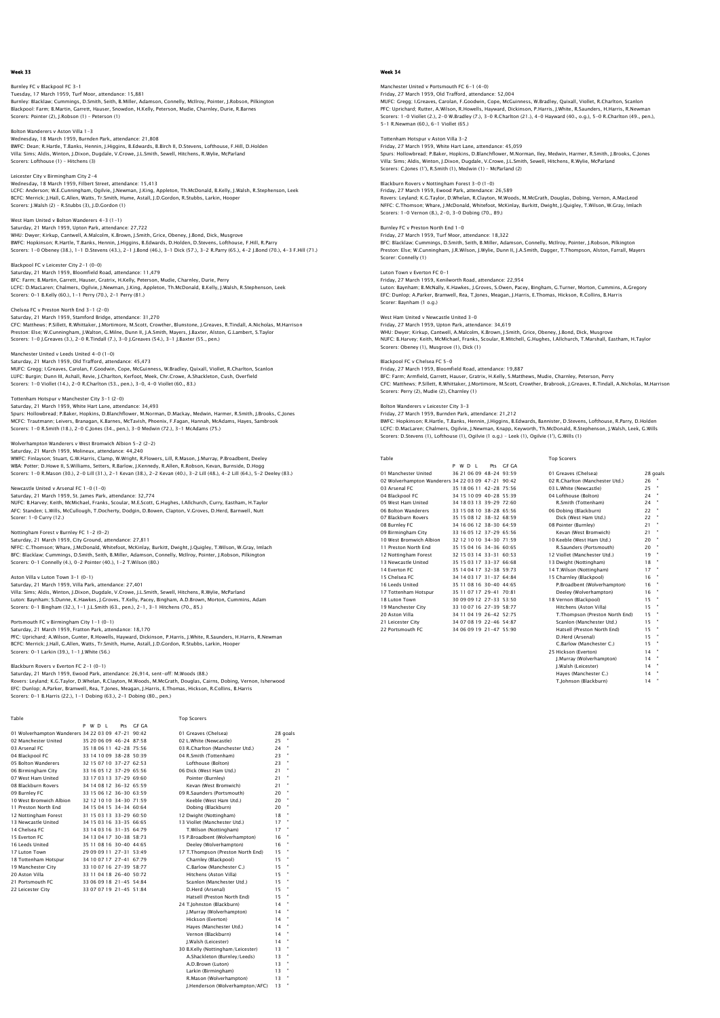Burnley FC v Blackpool FC 3-1 Tuesday, 17 March 1959, Turf Moor, attendance: 15,881<br>Burnley: Blacklaw; Cummings, D.Smith, Seith, B.Miller, Adamson, Connelly, McIlroy, Pointer, J.Robson, Pilkington<br>Blackpool: Farm; B.Martin, Garrett, Hauser, Snowdon, H. Scorers: Pointer (2), J.Robson (1) – Peterson (1)

Bolton Wanderers v Aston Villa 1-3 Wednesday, 18 March 1959, Burnden Park, attendance: 21,808 BWFC: Dean; R.Hartle, T.Banks, Hennin, J.Higgins, B.Edwards, B.Birch II, D.Stevens, Lofthouse, F.Hill, D.Holden Villa: Sims; Aldis, Winton, J.Dixon, Dugdale, V.Crowe, J.L.Smith, Sewell, Hitchens, R.Wylie, McParland Scorers: Lofthouse (1) – Hitchens (3)

# Leicester City v Birmingham City 2-4 Wednesday, 18 March 1959, Filbert Street, attendance: 15,413

LCFC: Anderson; W.E.Cunningham, Ogilvie, J.Newman, J.King, Appleton, Th.McDonald, B.Kelly, J.Walsh, R.Stephenson, Leek BCFC: Merrick; J.Hall, G.Allen, Watts, Tr.Smith, Hume, Astall, J.D.Gordon, R.Stubbs, Larkin, Hooper Scorers: J.Walsh (2) – R.Stubbs (3), J.D.Gordon (1)

West Ham United v Bolton Wanderers 4-3 (1-1) Saturday, 21 March 1959, Upton Park, attendance: 27,722 WHU: Dwyer; Kirkup, Cantwell, A.Malcolm, K.Brown, J.Smith, Grice, Obeney, J.Bond, Dick, Musgrove BWFC: Hopkinson; R.Hartle, T.Banks, Hennin, J.Higgins, B.Edwards, D.Holden, D.Stevens, Lofthouse, F.Hill, R.Parry Scorers: 1-0 Obeney (38.), 1-1 D.Stevens (43.), 2-1 J.Bond (46.), 3-1 Dick (57.), 3-2 R.Parry (65.), 4-2 J.Bond (70.), 4-3 F.Hill (71.)

Blackpool FC v Leicester City 2-1 (0-0) Saturday, 21 March 1959, Bloomfield Road, attendance: 11,479 BFC: Farm; B.Martin, Garrett, Hauser, Gratrix, H.Kelly, Peterson, Mudie, Charnley, Durie, Perry LCFC: D.MacLaren; Chalmers, Ogilvie, J.Newman, J.King, Appleton, Th.McDonald, B.Kelly, J.Walsh, R.Stephenson, Leek Scorers: 0-1 B.Kelly (60.), 1-1 Perry (70.), 2-1 Perry (81.)

#### Chelsea FC v Preston North End 3-1 (2-0)

Saturday, 21 March 1959, Stamford Bridge, attendance: 31,270<br>CFC: Matthews; P.Sillett, R.Whittaker, J.Mortimore, M.Scott, Crowther, Blunstone, J.Greaves, R.Tindall, A.Nicholas, M.Harrison<br>Preston: Else; W.Cunningham, J.Wal

Manchester United v Leeds United 4-0 (1-0)

Saturday, 21 March 1959, Old Trafford, attendance: 45,473 MUFC: Gregg; I.Greaves, Carolan, F.Goodwin, Cope, McGuinness, W.Bradley, Quixall, Viollet, R.Charlton, Scanlon LUFC: Burgin; Dunn III, Ashall, Revie, J.Charlton, Kerfoot, Meek, Chr.Crowe, A.Shackleton, Cush, Overfield<br>Scorers: 1–0 Viollet (14.), 2–0 R.Charlton (53., pen.), 3–0, 4–0 Viollet (60., 83.)

### Tottenham Hotspur v Manchester City 3-1 (2-0)

Saturday, 21 March 1959, White Hart Lane, attendance: 34,493 Spurs: Hollowbread; P.Baker, Hopkins, D.Blanchflower, M.Norman, D.Mackay, Medwin, Harmer, R.Smith, J.Brooks, C.Jones<br>MCFC: Trautmann; Leivers, Branagan, K.Barnes, MCTavish, Phoenix, F.Fagan, Hannah, McAdams, Hayes, Sambroo

## Wolverhampton Wanderers v West Bromwich Albion 5-2 (2-2)

Saturday, 21 March 1959, Molineux, attendance: 44,240 WWFC: Finlayson; Stuart, G.W.Harris, Clamp, W.Wright, R.Flowers, Lill, R.Mason, J.Murray, P.Broadbent, Deeley WBA: Potter; D.Howe II, S.Williams, Setters, R.Barlow, J.Kennedy, R.Allen, R.Robson, Kevan, Burnside, D.Hogg<br>Scorers: 1–0 R.Mason (30.), 2–0 Lill (31.), 2–1 Kevan (38.), 2–2 Kevan (40.), 3–2 Lill (48.), 4–2 Lill (64.), 5–2

Newcastle United v Arsenal FC 1–0 (1–0)<br>Saturday, 21 March 1959, St. James Park, attendance: 32,774<br>NUFC: B.Harvey: Keith, McMichael, Franks, Scoular, M.E.Scott, G.Hughes, I.Allchurch, Curry, Eastham, H.Taylor<br>AFC: Standen Scorer: 1-0 Curry (12.)

## ottingham Forest v Burnley FC 1-2 (0-2)

Saturday, 21 March 1959, City Ground, attendance: 27,811<br>NFFC: C.Thomson; Whare, J.McDonald, Whitefoot, McKinlay, Burkitt, Dwight, J.Quigley, T.Wilson, W.Gray, Imlach<br>BFC: Blacklaw; Cummings, D.Smith, Seith, B.Miller, Adam Scorers: 0-1 Connelly (4.), 0-2 Pointer (40.), 1-2 T.Wilson (80.)

## Aston Villa v Luton Town 3-1 (0-1)

Saturday, 21 March 1959, Villa Park, attendance: 27,401 Villa: Sims; Aldis, Winton, J.Dixon, Dugdale, V.Crowe, J.L.Smith, Sewell, Hitchens, R.Wylie, McParland Luton: Baynham; S.Dunne, K.Hawkes, J.Groves, T.Kelly, Pacey, Bingham, A.D.Brown, Morton, Cummins, Adam<br>Scorers: 0–1 Bingham (32.), 1–1 J.L.Smith (63., pen.), 2–1, 3–1 Hitchens (70., 85.)

### Portsmouth FC v Birmingham City 1-1 (0-1)

Saturday, 21 March 1959, Fratton Park, attendance: 18,170 PFC: Uprichard; A.Wilson, Gunter, R.Howells, Hayward, Dickinson, P.Harris, J.White, R.Saunders, H.Harris, R.Newman<br>BCFC: Merrick; J.Hall, G.Allen, Watts, Tr.Smith, Hume, Astall, J.D.Gordon, R.Stubbs, Larkin, Hooper<br>Scorers

### Blackburn Rovers v Everton FC 2-1 (0-1)

Saturday, 21 March 1959, Ewood Park, attendance: 26,914, sent-off: M.Woods (88.)<br>Rovers: Leyland; K.G.Taylor, D.Whelan, R.Clayton, M.Woods, M.McCrath, Douglas, Cairns, Dobing, Vernon, Isherwood<br>EFC: Dunlop: A.Parker, Bramw

Table Top Scorers

|                                                    |  | PWDI |                         | Pts GF GA |                                   |          |  |
|----------------------------------------------------|--|------|-------------------------|-----------|-----------------------------------|----------|--|
| 01 Wolverhampton Wanderers 34 22 03 09 47-21 90:42 |  |      |                         |           | 01 Greaves (Chelsea)              | 28 goals |  |
| 02 Manchester United                               |  |      | 35 20 06 09 46-24 87:58 |           | 02 L.White (Newcastle)            | $25 -$   |  |
| 03 Arsenal FC                                      |  |      | 35 18 06 11 42-28 75:56 |           | 03 R.Charlton (Manchester Utd.)   | 24       |  |
| 04 Blackpool FC                                    |  |      | 33 14 10 09 38-28 50:39 |           | 04 R.Smith (Tottenham)            | 23       |  |
| 05 Bolton Wanderers                                |  |      | 32 15 07 10 37-27 62:53 |           | Lofthouse (Bolton)                | 23       |  |
| 06 Birmingham City                                 |  |      | 33 16 05 12 37-29 65:56 |           | 06 Dick (West Ham Utd.)           | 21       |  |
| 07 West Ham United                                 |  |      | 33 17 03 13 37-29 69:60 |           | Pointer (Burnley)                 | 21       |  |
| 08 Blackburn Rovers                                |  |      | 34 14 08 12 36-32 65:59 |           | Kevan (West Bromwich)             | 21       |  |
| 09 Burnley FC                                      |  |      | 33 15 06 12 36-30 63:59 |           | 09 R.Saunders (Portsmouth)        | 20       |  |
| 10 West Bromwich Albion                            |  |      | 32 12 10 10 34-30 71:59 |           | Keeble (West Ham Utd.)            | 20       |  |
| 11 Preston North End                               |  |      | 34 15 04 15 34-34 60:64 |           | Dobing (Blackburn)                | 20       |  |
| 12 Nottingham Forest                               |  |      | 31 15 03 13 33-29 60:50 |           | 12 Dwight (Nottingham)            | 18       |  |
| 13 Newcastle United                                |  |      | 34 15 03 16 33-35 66:65 |           | 13 Viollet (Manchester Utd.)      | $17 -$   |  |
| 14 Chelsea EC                                      |  |      | 33 14 03 16 31-35 64 79 |           | T.Wilson (Nottingham)             | $17 -$   |  |
| 15 Everton FC                                      |  |      | 34 13 04 17 30-38 58:73 |           | 15 P.Broadbent (Wolverhampton)    | 16       |  |
| 16 Leeds United                                    |  |      | 35 11 08 16 30-40 44:65 |           | Deeley (Wolverhampton)            | 16       |  |
| 17 Luton Town                                      |  |      | 29 09 09 11 27-31 53:49 |           | 17 T.Thompson (Preston North End) | 15.      |  |
| 18 Tottenham Hotspur                               |  |      | 34 10 07 17 27-41 67:79 |           | Charnley (Blackpool)              | 15       |  |
| 19 Manchester City                                 |  |      | 33 10 07 16 27-39 58:77 |           | C.Barlow (Manchester C.)          | 15       |  |
| 20 Aston Villa                                     |  |      | 33 11 04 18 26-40 50:72 |           | Hitchens (Aston Villa)            | 15       |  |
| 21 Portsmouth EC                                   |  |      | 33 06 09 18 21-45 54:84 |           | Scanlon (Manchester Utd.)         | 15       |  |
| 22 Leicester City                                  |  |      | 33 07 07 19 21-45 51:84 |           | D.Herd (Arsenal)                  | 15.      |  |
|                                                    |  |      |                         |           | Hatsell (Preston North End)       | 15       |  |
|                                                    |  |      |                         |           | 24 T.Johnston (Blackburn)         | 14       |  |
|                                                    |  |      |                         |           | J.Murray (Wolverhampton)          | 14       |  |
|                                                    |  |      |                         |           | Hickson (Everton)                 | 14       |  |
|                                                    |  |      |                         |           | Haves (Manchester Utd.)           | 14       |  |
|                                                    |  |      |                         |           | Vernon (Blackburn)                | 14       |  |
|                                                    |  |      |                         |           | J.Walsh (Leicester)               | 14       |  |
|                                                    |  |      |                         |           | 30 B.Kelly (Nottingham/Leicester) | 13       |  |
|                                                    |  |      |                         |           | A.Shackleton (Burnley/Leeds)      | 13       |  |
|                                                    |  |      |                         |           | A.D.Brown (Luton)                 | 13       |  |

Larkin (Birmingham) 13 R.Mason (Wolverhampton) J.Henderson (Wolverhampton/AFC) 13

## Week 34

Manchester United v Portsmouth FC 6-1 (4-0) Friday, 27 March 1959, Old Trafford, attendance: 52,004<br>MUFC: Gregg; I.Greaves, Carolan, F.Goodwin, Cope, McGuinness, W.Bradley, Quixall, Viollet, R.Charlton, Scanlon<br>PFC: Uprichard; Rutter, A.Wilson, R.Howells, Hayward, D Scorers: 1-0 Viollet (2.), 2-0 W.Bradley (7.), 3-0 R.Charlton (21.), 4-0 Hayward (40., o.g.), 5-0 R.Charlton (49., pen.), 5-1 R.Newman (60.), 6-1 Viollet (65.)

## Tottenham Hotspur v Aston Villa 3-2

Friday, 27 March 1959, White Hart Lane, attendance: 45,059 Spurs: Hollowbread; P.Baker, Hopkins, D.Blanchflower, M.Norman, Iley, Medwin, Harmer, R.Smith, J.Brooks, C.Jones Villa: Sims; Aldis, Winton, J.Dixon, Dugdale, V.Crowe, J.L.Smith, Sewell, Hitchens, R.Wylie, McParland Scorers: C.Jones (1'), R.Smith (1), Medwin (1) – McParland (2)

Blackburn Rovers v Nottingham Forest 3-0 (1-0) Friday, 27 March 1959, Ewood Park, attendance: 26,589 Rovers: Leyland; K.G.Taylor, D.Whelan, R.Clayton, M.Woods, M.McGrath, Douglas, Dobing, Vernon, A.MacLeod NFFC: C.Thomson; Whare, J.McDonald, Whitefoot, McKinlay, Burkitt, Dwight, J.Quigley, T.Wilson, W.Gray, Imlach Scorers: 1-0 Vernon (8.), 2-0, 3-0 Dobing (70., 89.)

Burnley FC v Preston North End 1-0 Friday, 27 March 1959, Turf Moor, attendance: 18,322 BFC: Blacklaw; Cummings, D.Smith, Seith, B.Miller, Adamson, Connelly, McIlroy, Pointer, J.Robson, Pilkington Preston: Else; W.Cunningham, J.R.Wilson, J.Wylie, Dunn II, J.A.Smith, Dagger, T.Thompson, Alston, Farrall, Mayers Scorer: Connelly (1)

Luton Town v Everton FC 0-1 Friday, 27 March 1959, Kenilworth Road, attendance: 22,954 Luton: Baynham; B.McNally, K.Hawkes, J.Groves, S.Owen, Pacey, Bingham, G.Turner, Morton, Cummins, A.Gregory<br>EFC: Dunlop; A.Parker, Bramwell, Rea, T.Jones, Meagan, J.Harris, E.Thomas, Hickson, R.Collins, B.Harris Scorer: Baynham (1 o.g.)

West Ham United v Newcastle United 3-0 Friday, 27 March 1959, Upton Park, attendance: 34,619 WHU: Dwyer; Kirkup, Cantwell, A.Malcolm, K.Brown, J.Smith, Grice, Obeney, J.Bond, Dick, Musgrove NUFC: B.Harvey; Keith, McMichael, Franks, Scoular, R.Mitchell, G.Hughes, I.Allchurch, T.Marshall, Eastham, H.Taylor Scorers: Obeney (1), Musgrove (1), Dick (1)

# Blackpool FC v Chelsea FC 5-0<br>Friday 27 March 1050, Bloomfield Board, attordance: 10,887

Friday, 27 March 1959, Bioomfield Road, attendance: 19,887<br>BFC: Farm, Armfield, Garrett, Hauser, Gratrix, H.Kelly, S.Matthews, Mudie, Charnley, Peterson, Perry<br>CFC: Matthews: P.Sillett, R.Whittaker, J.Mortimore, M.Scott, C Scorers: Perry (2), Mudie (2), Charnley (1)

## Bolton Wanderers v Leicester City 3-3

Friday, 27 March 1959, Burnden Park, attendance: 21,212<br>BWC: Hopkinson; R.Hartle, T.Banks, Hennin, J.Higgins, B.Edwards, Bannister, D.Stevens, Lofthouse, R.Parry, D.Holden<br>LCFC: D.MacLaren; Chalmers, Oglivie, J.Newman, Kna

| ٠ |
|---|

| Table                                              |         |                           |       | <b>Top Scorers</b>              |    |          |
|----------------------------------------------------|---------|---------------------------|-------|---------------------------------|----|----------|
|                                                    | P W D I | Pts.                      | GE GA |                                 |    |          |
| 01 Manchester United                               |         | 36 21 06 09 48-24 93:59   |       | 01 Greaves (Chelsea)            |    | 28 goals |
| 02 Wolverhampton Wanderers 34 22 03 09 47-21 90:42 |         |                           |       | 02 R.Charlton (Manchester Utd.) | 26 |          |
| 03 Arsenal FC                                      |         | 35 18 06 11 42-28 75:56   |       | 03 L.White (Newcastle)          | 25 |          |
| 04 Blackpool FC                                    |         | 34 15 10 09 40-28 55:39   |       | 04 Lofthouse (Bolton)           | 24 | ٠        |
| 05 West Ham United                                 |         | 34 18 03 13 39-29 72:60   |       | R.Smith (Tottenham)             | 24 |          |
| 06 Bolton Wanderers                                |         | 33 15 08 10 38-28 65:56   |       | 06 Dobing (Blackburn)           | 22 | ٠        |
| 07 Blackburn Rovers                                |         | 35 15 08 12 38-32 68:59   |       | Dick (West Ham Utd.)            | 22 |          |
| 08 Burnley FC                                      |         | 34 16 06 12 38-30 64:59   |       | 08 Pointer (Burnley)            | 21 |          |
| 09 Birmingham City                                 |         | 33 16 05 12 37-29 65:56   |       | Kevan (West Bromwich)           | 21 | ۰        |
| 10 West Bromwich Albion                            |         | 32 12 10 10 34-30 71:59   |       | 10 Keeble (West Ham Utd.)       | 20 |          |
| 11 Preston North End                               |         | 35 15 04 16 34-36 60:65   |       | R.Saunders (Portsmouth)         | 20 |          |
| 12 Nottingham Forest                               |         | 32 15 03 14 33-31 60:53   |       | 12 Viollet (Manchester Utd.)    | 19 |          |
| 13 Newcastle United                                |         | 35 15 03 17 33-37 66:68   |       | 13 Dwight (Nottingham)          | 18 |          |
| 14 Everton EC                                      |         | 35 14 04 17 32-38 59:73   |       | 14 T.Wilson (Nottingham)        | 17 |          |
| 15 Chelsea EC                                      |         | 34 14 03 17 31 - 37 64 84 |       | 15 Charnley (Blackpool)         | 16 |          |
| 16 Leeds United                                    |         | 35 11 08 16 30-40 44:65   |       | P.Broadbent (Wolverhampton)     | 16 |          |
| 17 Tottenham Hotspur                               |         | 35 11 07 17 29-41 70:81   |       | Deeley (Wolverhampton)          | 16 |          |
| 18 Luton Town                                      |         | 30 09 09 12 27-33 53:50   |       | 18 Vernon (Blackpool)           | 15 |          |
| 19 Manchester City                                 |         | 33 10 07 16 27-39 58:77   |       | Hitchens (Aston Villa)          | 15 |          |
| 20 Aston Villa                                     |         | 34 11 04 19 26-42 52:75   |       | T.Thompson (Preston North End)  | 15 |          |
| 21 Leicester City                                  |         | 34 07 08 19 22-46 54:87   |       | Scanlon (Manchester Utd.)       | 15 |          |
| 22 Portsmouth EC                                   |         | 34.06.09.19.21-47.55:90   |       | Hatcoll (Procton North End)     | 15 |          |

|                                                    |  | P W D I | Pts.                      | GE GA |                                 |        |          |
|----------------------------------------------------|--|---------|---------------------------|-------|---------------------------------|--------|----------|
| 01 Manchester United                               |  |         | 36 21 06 09 48-24 93:59   |       | 01 Greaves (Chelsea)            |        | 28 goals |
| 02 Wolverhampton Wanderers 34 22 03 09 47-21 90:42 |  |         |                           |       | 02 R.Charlton (Manchester Utd.) | 26     |          |
| 03 Arsenal FC                                      |  |         | 35 18 06 11 42-28 75:56   |       | 03 L.White (Newcastle)          | 25     |          |
| 04 Blackpool FC                                    |  |         | 34 15 10 09 40-28 55:39   |       | 04 Lofthouse (Bolton)           | 24     |          |
| 05 West Ham United                                 |  |         | 34 18 03 13 39-29 72:60   |       | R.Smith (Tottenham)             | $24 -$ |          |
| 06 Bolton Wanderers                                |  |         | 33 15 08 10 38-28 65:56   |       | 06 Dobing (Blackburn)           | 22     |          |
| 07 Blackburn Rovers                                |  |         | 35 15 08 12 38-32 68:59   |       | Dick (West Ham Utd.)            | 22     |          |
| 08 Burnley FC                                      |  |         | 34 16 06 12 38-30 64:59   |       | 08 Pointer (Burnley)            | 21     |          |
| 09 Birmingham City                                 |  |         | 33 16 05 12 37-29 65:56   |       | Kevan (West Bromwich)           | 21     |          |
| 10 West Bromwich Albion                            |  |         | 32 12 10 10 34-30 71:59   |       | 10 Keeble (West Ham Utd.)       | 20     |          |
| 11 Preston North End                               |  |         | 35 15 04 16 34-36 60:65   |       | R.Saunders (Portsmouth)         | 20     |          |
| 12 Nottingham Forest                               |  |         | 32 15 03 14 33-31 60:53   |       | 12 Viollet (Manchester Utd.)    | 19     |          |
| 13 Newcastle United                                |  |         | 35 15 03 17 33-37 66:68   |       | 13 Dwight (Nottingham)          | 18     |          |
| 14 Everton EC                                      |  |         | 35 14 04 17 32-38 59:73   |       | 14 T.Wilson (Nottingham)        | 17     |          |
| 15 Chelsea EC                                      |  |         | 34 14 03 17 31 - 37 64 84 |       | 15 Charnley (Blackpool)         | 16     |          |
| 16 Leeds United                                    |  |         | 35 11 08 16 30-40 44:65   |       | P.Broadbent (Wolverhampton)     | 16     |          |
| 17 Tottenham Hotspur                               |  |         | 35 11 07 17 29-41 70:81   |       | Deelev (Wolverhampton)          | 16     |          |
| 18 Luton Town                                      |  |         | 30 09 09 12 27-33 53:50   |       | 18 Vernon (Blackpool)           | 15     |          |
| 19 Manchester City                                 |  |         | 33 10 07 16 27-39 58:77   |       | Hitchens (Aston Villa)          | 15     |          |
| 20 Aston Villa                                     |  |         | 34 11 04 19 26-42 52:75   |       | T.Thompson (Preston North End)  | 15     |          |
| 21 Leicester City                                  |  |         | 34 07 08 19 22-46 54:87   |       | Scanlon (Manchester Utd.)       | 15     |          |
| 22 Portsmouth EC                                   |  |         | 34 06 09 19 21-47 55:90   |       | Hatsell (Preston North End)     | 15     |          |
|                                                    |  |         |                           |       | D.Herd (Arsenal)                | 15     |          |
|                                                    |  |         |                           |       | C.Barlow (Manchester C.)        | 15     |          |
|                                                    |  |         |                           |       | 25 Hickson (Everton)            | 14     |          |
|                                                    |  |         |                           |       | J.Murray (Wolverhampton)        | 14     |          |
|                                                    |  |         |                           |       | I.Walsh (Leicester)             | 14     |          |
|                                                    |  |         |                           |       | Hayes (Manchester C.)           | 14     |          |
|                                                    |  |         |                           |       | T. Johnson (Blackburn)          | 14     |          |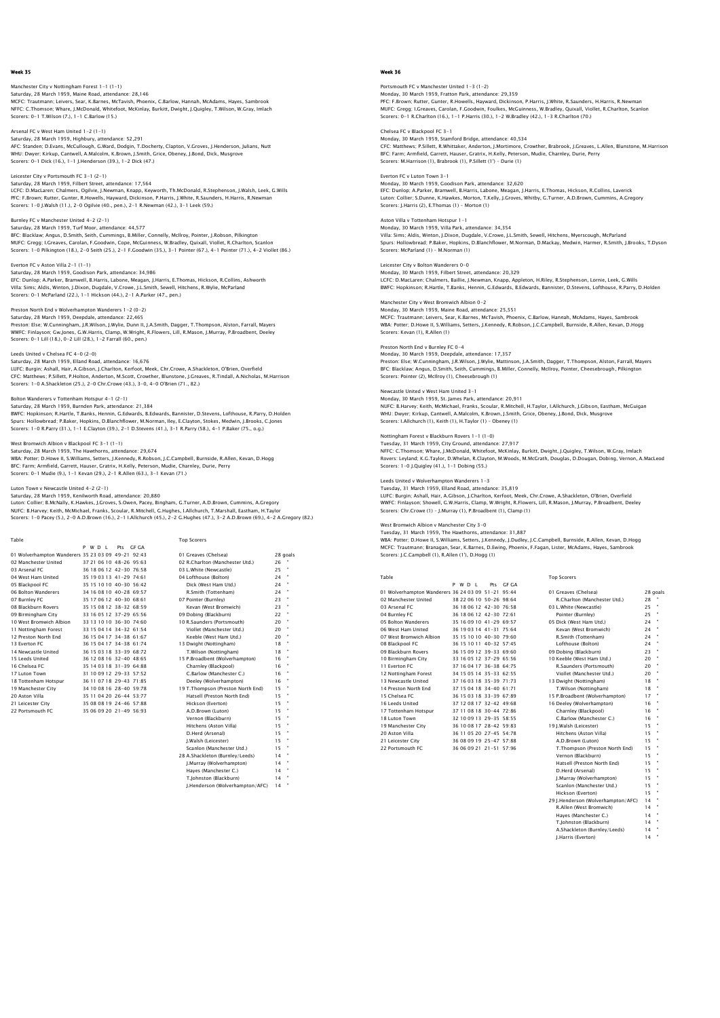# Manchester City v Nottingham Forest 1-1 (1-1) Saturday, 28 March 1959, Maine Road, attendance: 28,146<br>MCFC: Trautmann; Leivers, Sear, K.Barnes, McTavish, Phoenix, C.Barlow, Hannah, McAdams, Hayes, Sambrook<br>NFFC: C.Thomson; Whare, J.McDonald, Whitefoot, McKinlay, Burki Scorers: 0-1 T.Wilson (7.), 1-1 C.Barlow (15.)

Arsenal FC v West Ham United 1-2 (1-1) Saturday, 28 March 1959, Highbury, attendance: 52,291 AFC: Standen; D.Evans, McCullough, G.Ward, Dodgin, T.Docherty, Clapton, V.Groves, J.Henderson, Julians, Nutt WHU: Dwyer; Kirkup, Cantwell, A.Malcolm, K.Brown, J.Smith, Grice, Obeney, J.Bond, Dick, Musgrove Scorers: 0-1 Dick (16.), 1-1 J.Henderson (39.), 1-2 Dick (47.)

## Leicester City v Portsmouth FC 3-1 (2-1)

Saturday, 28 March 1959, Filbert Street, attendance: 17,564 LCFC: D.MacLaren; Chalmers, Ogilvie, J.Newman, Knapp, Keyworth, Th.McDonald, R.Stephenson, J.Walsh, Leek, G.Wills PFC: F.Brown; Rutter, Gunter, R.Howells, Hayward, Dickinson, P.Harris, J.White, R.Saunders, H.Harris, R.Newman Scorers: 1-0 J.Walsh (11.), 2-0 Ogilvie (40., pen.), 2-1 R.Newman (42.), 3-1 Leek (59.)

## Burnley FC v Manchester United 4-2 (2-1)

Saturday, 28 March 1959, Turf Moor, attendance: 44,577 BFC: Blacklaw; Angus, D.Smith, Seith, Cummings, B.Miller, Connelly, McIlroy, Pointer, J.Robson, Pilkington MUFC: Gregg; I.Greaves, Carolan, F.Goodwin, Cope, McGuinness, W.Bradley, Quixall, Viollet, R.Charlton, Scanlon Scorers: 1-0 Pilkington (18.), 2-0 Seith (25.), 2-1 F.Goodwin (35.), 3-1 Pointer (67.), 4-1 Pointer (71.), 4-2 Viollet (86.)

## Everton FC v Aston Villa 2-1 (1-1)

Saturday, 28 March 1959, Goodison Park, attendance: 34,986 EFC: Dunlop; A.Parker, Bramwell, B.Harris, Labone, Meagan, J.Harris, E.Thomas, Hickson, R.Collins, Ashworth<br>Villa: Sims; Aldis, Winton, J.Dixon, Dugdale, V.Crowe, J.L.Smith, Sewell, Hitchens, R.Wylie, McParland<br>Scorers: 0–

## Preston North End v Wolverhampton Wanderers 1-2 (0-2)

Saturday, 28 March 1959, Deepdale, attendance: 22,465 Preston: Else; W.Cunningham, J.R.Wilson, J.Wylie, Dunn II, J.A.Smith, Dagger, T.Thompson, Alston, Farrall, Mayers<br>WWFC: Finlayson; Gw.Jones, G.W.Harris, Clamp, W.Wright, R.Flowers, Lill, R.Mason, J.Murray, P.Broadbent, Dee

## Leeds United v Chelsea FC 4-0 (2-0)

Saturday, 28 March 1959, Elland Road, attendance: 16,676 LUFC: Burgin; Ashall, Hair, A.Gibson, J.Charlton, Kerfoot, Meek, Chr.Crowe, A.Shackleton, O'Brien, Overfield CFC: Matthews; P.Sillett, P.Holton, Anderton, M.Scott, Crowther, Blunstone, J.Greaves, R.Tindall, A.Nicholas, M.Harrison Scorers: 1-0 A.Shackleton (25.), 2-0 Chr.Crowe (43.), 3-0, 4-0 O'Brien (71., 82.)

#### Bolton Wanderers v Tottenham Hotspur 4-1 (2-1) Saturday, 28 March 1959, Burnden Park, attendance: 21,384

BWFC: Hopkinson; R.Hartle, T.Banks, Hennin, G.Edwards, B.Edwards, Bannister, D.Stevens, Lofthouse, R.Parry, D.Holden<br>Spurs: Hollowbread; P.Baker, Hopkins, D.Blanchflower, M.Norman, Iley, E.Clayton, Stokes, Medwin, J.Brooks

## West Bromwich Albion v Blackpool FC 3-1 (1-1)

Saturday, 28 March 1959, The Hawthorns, attendance: 29,674<br>WBA: Potter; D.Howe II, S.Williams, Setters, J.Kennedy, R.Robson, J.C.Campbell, Burnside, R.Allen, Kevan, D.Hogg<br>BFC: Farm; Armfield, Garrett, Hauser, Gratrix, H.K

### ton Town v Newcastle United 4-2 (2-1)

Saturday, 28 March 1959, Kenilworth Road, attendance: 20,880<br>Luton: Collier; B.McNally, K.Hawkes, J.Groves, S.Owen, Pacey, Bingham, G.Turner, A.D.Brown, Cummins, A.Gregory<br>NUFC: B.Harvey: Keith, McMichael, Franks, Scoular, Scorers: 1-0 Pacey (5.), 2-0 A.D.Brown (16.), 2-1 I.Allchurch (45.), 2-2 G.Hughes (47.), 3-2 A.D.Brown (69.), 4-2 A.Gregory (82.)

| Table                                              |                         |           | <b>Top Scorers</b>                |    |              |
|----------------------------------------------------|-------------------------|-----------|-----------------------------------|----|--------------|
|                                                    | P W D I                 | Pts GE GA |                                   |    |              |
| 01 Wolverhampton Wanderers 35 23 03 09 49-21 92:43 |                         |           | 01 Greaves (Chelsea)              |    | 28 goals     |
| 02 Manchester United                               | 37 21 06 10 48-26 95:63 |           | 02 R.Charlton (Manchester Utd.)   | 26 | ×            |
| 03 Arsenal FC                                      | 36 18 06 12 42-30 76:58 |           | 03 L.White (Newcastle)            | 25 | ×            |
| 04 West Ham United                                 | 35 19 03 13 41-29 74:61 |           | 04 Lofthouse (Bolton)             | 24 |              |
| 05 Blackpool FC                                    | 35 15 10 10 40-30 56:42 |           | Dick (West Ham Utd.)              | 24 | ×            |
| 06 Bolton Wanderers                                | 34 16 08 10 40-28 69 57 |           | R.Smith (Tottenham)               | 24 | ×            |
| 07 Burnley FC                                      | 35 17 06 12 40-30 68:61 |           | 07 Pointer (Burnley)              | 23 | ×            |
| 08 Blackburn Rovers                                | 35 15 08 12 38-32 68:59 |           | Kevan (West Bromwich)             | 23 | ×            |
| 09 Birmingham City                                 | 33 16 05 12 37-29 65:56 |           | 09 Dobing (Blackburn)             | 22 | ×            |
| 10 West Bromwich Albion                            | 33 13 10 10 36-30 74:60 |           | 10 R.Saunders (Portsmouth)        | 20 | ×            |
| 11 Nottingham Forest                               | 33 15 04 14 34-32 61:54 |           | Viollet (Manchester Utd.)         | 20 | ×            |
| 12 Preston North End                               | 36 15 04 17 34-38 61:67 |           | Keeble (West Ham Utd.)            | 20 | ٠            |
| 13 Everton EC                                      | 36 15 04 17 34-38 61:74 |           | 13 Dwight (Nottingham)            | 18 |              |
| 14 Newcastle United                                | 36 15 03 18 33-39 68:72 |           | T.Wilson (Nottingham)             | 18 | ×            |
| 15 Leeds United                                    | 36 12 08 16 32-40 48:65 |           | 15 P.Broadbent (Wolverhampton)    | 16 | ×            |
| 16 Chelsea EC                                      | 35 14 03 18 31-39 64 88 |           | Charnley (Blackpool)              | 16 |              |
| 17 Luton Town                                      | 31 10 09 12 29-33 57:52 |           | C.Barlow (Manchester C.)          | 16 |              |
| 18 Tottenham Hotspur                               | 36 11 07 18 29-43 71:85 |           | Deeley (Wolverhampton)            | 16 |              |
| 19 Manchester City                                 | 34 10 08 16 28-40 59:78 |           | 19 T.Thompson (Preston North End) | 15 | ×            |
| 20 Aston Villa                                     | 35 11 04 20 26-44 53:77 |           | Hatsell (Preston North End)       | 15 | ×            |
| 21 Leicester City                                  | 35 08 08 19 24-46 57 88 |           | Hickson (Everton)                 | 15 | ×            |
| 22 Portsmouth FC                                   | 35.06.09.20 21-49 56:93 |           | A.D.Brown (Luton)                 | 15 |              |
|                                                    |                         |           | Vernon (Blackburn)                | 15 | ×            |
|                                                    |                         |           | Hitchens (Aston Villa)            | 15 |              |
|                                                    |                         |           | D.Herd (Arsenal)                  | 15 | ×            |
|                                                    |                         |           | I.Walsh (Leicester)               | 15 |              |
|                                                    |                         |           | Scanlon (Manchester Utd.)         | 15 |              |
|                                                    |                         |           | 28 A.Shackleton (Burnley/Leeds)   | 14 |              |
|                                                    |                         |           | J.Murray (Wolverhampton)          | 14 |              |
|                                                    |                         |           | Hayes (Manchester C.)             | 14 | ×            |
|                                                    |                         |           | T.Johnston (Blackburn)            | 14 |              |
|                                                    |                         |           | I.Henderson (Wolverhampton/AFC)   | 14 | $\mathbf{u}$ |

## Week 36

## Portsmouth FC v Manchester United 1-3 (1-2) Monday, 30 March 1959, Fratton Park, attendance: 29,359<br>PFC: F.Brown; Rutter, Gunter, R.Howells, Hayward, Dickinson, P.Harris, J.White, R.Saunders, H.Harris, R.Newman<br>MUFC: Gregg: I.Greaves, Carolan, F.Goodwin, Foulkes, Mc Scorers: 0-1 R.Charlton (16.), 1-1 P.Harris (30.), 1-2 W.Bradley (42.), 1-3 R.Charlton (70.)

Chelsea FC v Blackpool FC 3-1 Monday, 30 March 1959, Stamford Bridge, attendance: 40,534 CFC: Matthews; P.Sillett, R.Whittaker, Anderton, J.Mortimore, Crowther, Brabrook, J.Greaves, L.Allen, Blunstone, M.Harrison BFC: Farm; Armfield, Garrett, Hauser, Gratrix, H.Kelly, Peterson, Mudie, Charnley, Durie, Perry Scorers: M.Harrison (1), Brabrook (1), P.Sillett (1') – Durie (1)

### Everton FC v Luton Town 3-1

Monday, 30 March 1959, Goodison Park, attendance: 32,620 EFC: Dunlop; A.Parker, Bramwell, B.Harris, Labone, Meagan, J.Harris, E.Thomas, Hickson, R.Collins, Laverick Luton: Collier; S.Dunne, K.Hawkes, Morton, T.Kelly, J.Groves, Whitby, G.Turner, A.D.Brown, Cummins, A.Gregory Scorers: J.Harris (2), E.Thomas (1) – Morton (1)

## Aston Villa v Tottenham Hotspur 1-1

Monday, 30 March 1959, Villa Park, attendance: 34,354 Villa: Sims; Aldis, Winton, J.Dixon, Dugdale, V.Crowe, J.L.Smith, Sewell, Hitchens, Myerscough, McParland Spurs: Hollowbread; P.Baker, Hopkins, D.Blanchflower, M.Norman, D.Mackay, Medwin, Harmer, R.Smith, J.Brooks, T.Dyson Scorers: McParland (1) – M.Norman (1)

### Leicester City v Bolton Wanderers 0-0 Monday, 30 March 1959, Filbert Street, attendance: 20,329

LCFC: D.MacLaren; Chalmers, Baillie, J.Newman, Knapp, Appleton, H.Riley, R.Stephenson, Lornie, Leek, G.Wills<br>BWFC: Hopkinson; R.Hartle, T.Banks, Hennin, G.Edwards, B.Edwards, Bannister, D.Stevens, Lofthouse, R.Parry, D.Hol

## Manchester City v West Bromwich Albion 0-2

Monday, 30 March 1959, Maine Road, attendance: 25,551 MCFC: Trautmann; Leivers, Sear, K.Barnes, McTavish, Phoenix, C.Barlow, Hannah, McAdams, Hayes, Sambrook WBA: Potter; D.Howe II, S.Williams, Setters, J.Kennedy, R.Robson, J.C.Campbell, Burnside, R.Allen, Kevan, D.Hogg Scorers: Kevan (1), R.Allen (1)

## Preston North End v Burnley FC 0-4

Monday, 30 March 1959, Deepdale, attendance: 17,357 Preston: Else; W.Cunningham, J.R.Wilson, J.Wylie, Mattinson, J.A.Smith, Dagger, T.Thompson, Alston, Farrall, Mayers<br>BFC: Blacklaw; Anqus, D.Smith, Seith, Cummings, B.Miller, Connelly, McIlroy, Pointer, Cheesebrough, Pilkin Scorers: Pointer (2), McIlroy (1), Cheesebrough (1)

#### Newcastle United v West Ham United 3-1

Monday, 30 March 1959, St. James Park, attendance: 20,911 NUFC: B.Harvey; Keith, McMichael, Franks, Scoular, R.Mitchell, H.Taylor, I.Allchurch, J.Gibson, Eastham, McGuigan WHU: Dwyer; Kirkup, Cantwell, A.Malcolm, K.Brown, J.Smith, Grice, Obeney, J.Bond, Dick, Musgrove Scorers: I.Allchurch (1), Keith (1), H.Taylor (1) – Obeney (1)

## Nottingham Forest v Blackburn Rovers 1-1 (1-0)

Tuesday, 31 March 1959, City Ground, attendance: 27,917 NFFC: C.Thomson; Whare, J.McDonald, Whitefoot, McKinlay, Burkitt, Dwight, J.Quigley, T.Wilson, W.Gray, Imlach Rovers: Leyland; K.G.Taylor, D.Whelan, R.Clayton, M.Woods, M.McGrath, Douglas, D.Dougan, Dobing, Vernon, A.MacLeod Scorers: 1-0 J.Quigley (41.), 1-1 Dobing (55.)

## Leeds United v Wolverhampton Wanderers 1-3

Tuesday, 31 March 1959, Elland Road, attendance: 35,819<br>LUFC: Burgin; Ashall, Hair, A.Gibson, J.Charlton, Kerfoot, Meek, Chr.Crowe, A.Shackleton, O'Brien, Overfield<br>WWFC: Finlayson; Showell, G.W.Harris, Clamp, W.Wright, R. Scorers: Chr.Crowe (1) – I.Murray (1), P.Broadbent (1), Clamp (1)

West Bromwich Albion v Manchester City 3–0<br>Tuesday, 31 March 1959, The Hawthorns, attendance: 31,887<br>WBA: Potter; D.Howe II, S.Williams, Setters, J.Kennedy, J.Dudley, J.C.Campbell, Burnside, R.Allen, Kevan, D.Hogg<br>MCFC: Tr Scorers: J.C.Campbell (1), R.Allen (1), D.Hogg (1),

| Table                                              |                           |           | <b>Top Scorers</b>             |    |          |
|----------------------------------------------------|---------------------------|-----------|--------------------------------|----|----------|
|                                                    | P W D I                   | Pts GE GA |                                |    |          |
| 01 Wolverhampton Wanderers 36 24 03 09 51-21 95:44 |                           |           | 01 Greaves (Chelsea)           |    | 28 goals |
| 02 Manchester United                               | 38 22 06 10 50-26 98:64   |           | R.Charlton (Manchester Utd.)   | 28 |          |
| 03 Arsenal FC                                      | 36 18 06 12 42-30 76:58   |           | 03 L.White (Newcastle)         | 25 | ٠        |
| 04 Burnley FC                                      | 36 18 06 12 42-30 72:61   |           | Pointer (Burnley)              | 25 |          |
| 05 Bolton Wanderers                                | 35 16 09 10 41-29 69:57   |           | 05 Dick (West Ham Utd.)        | 24 | ٠        |
| 06 West Ham United                                 | 36 19 03 14 41 - 31 75 64 |           | Kevan (West Bromwich)          | 24 |          |
| 07 West Bromwich Albion                            | 35 15 10 10 40-30 79:60   |           | R.Smith (Tottenham)            | 24 | ۰        |
| 08 Blackpool FC                                    | 36 15 10 11 40-32 57:45   |           | Lofthouse (Bolton)             | 24 |          |
| 09 Blackburn Rovers                                | 36 15 09 12 39-33 69:60   |           | 09 Dobing (Blackburn)          | 23 |          |
| 10 Birmingham City                                 | 33 16 05 12 37-29 65:56   |           | 10 Keeble (West Ham Utd.)      | 20 |          |
| 11 Everton EC                                      | 37 16 04 17 36-38 64 75   |           | R.Saunders (Portsmouth)        | 20 |          |
| 12 Nottingham Forest                               | 34 15 05 14 35-33 62:55   |           | Viollet (Manchester Utd.)      | 20 |          |
| 13 Newcastle United                                | 37 16 03 18 35-39 71:73   |           | 13 Dwight (Nottingham)         | 18 |          |
| 14 Preston North End                               | 37 15 04 18 34-40 61 71   |           | T.Wilson (Nottingham)          | 18 |          |
| 15 Chelsea EC                                      | 36 15 03 18 33-39 67:89   |           | 15 P.Broadbent (Wolverhampton) | 17 |          |
| 16 Leeds United                                    | 37 12 08 17 32-42 49:68   |           | 16 Deeley (Wolverhampton)      | 16 | ۰        |
| 17 Tottenham Hotspur                               | 37 11 08 18 30-44 72:86   |           | Charnley (Blackpool)           | 16 |          |
| 18 Luton Town                                      | 32 10 09 13 29-35 58:55   |           | C.Barlow (Manchester C.)       | 16 |          |
| 19 Manchester City                                 | 36 10 08 17 28-42 59:83   |           | 19 I.Walsh (Leicester)         | 15 |          |
| 20 Aston Villa                                     | 36 11 05 20 27-45 54:78   |           | Hitchens (Aston Villa)         | 15 |          |
| 21 Leicester City                                  | 36 08 09 19 25-47 57:88   |           | A.D.Brown (Luton)              | 15 | ٠        |
| 22 Portsmouth FC                                   | 36 06 09 21 21 - 51 57:96 |           | T.Thompson (Preston North End) | 15 |          |

| 01 Greaves (Chelsea)               | 28 goal |   |
|------------------------------------|---------|---|
| R.Charlton (Manchester Utd.)       | 28      |   |
| 03 L.White (Newcastle)             | 25      | ٠ |
| Pointer (Burnley)                  | 25      | ٠ |
| 05 Dick (West Ham Utd.)            | 24      | ٠ |
| Kevan (West Bromwich)              | 24      | ٠ |
| R.Smith (Tottenham)                | 24      | ٠ |
| Lofthouse (Bolton)                 | 24      | × |
| 09 Dobing (Blackburn)              | 23      | ٠ |
| 10 Keeble (West Ham Utd.)          | 20      |   |
| R.Saunders (Portsmouth)            | 20      | ٠ |
| Viollet (Manchester Utd.)          | 20      | ٠ |
| 13 Dwight (Nottingham)             | 18      | ٠ |
| T.Wilson (Nottingham)              | 18      | ٠ |
| 15 P.Broadbent (Wolverhampton)     | 17      |   |
| 16 Deelev (Wolverhampton)          | 16      | ٠ |
| Charnley (Blackpool)               | 16      |   |
| C.Barlow (Manchester C.)           | 16      |   |
| 19 I.Walsh (Leicester)             | 15      | ٠ |
| Hitchens (Aston Villa)             | 15      |   |
| A.D.Brown (Luton)                  | 15      | ۰ |
| T.Thompson (Preston North End)     | 15      | ٠ |
| Vernon (Blackburn)                 | 15      | ٠ |
| Hatsell (Preston North End)        | 15      |   |
| D.Herd (Arsenal)                   | 15      |   |
| I.Murrav (Wolverhampton)           | 15      |   |
| Scanlon (Manchester Utd.)          | 15      |   |
| Hickson (Everton)                  | 15      | ٠ |
| 29 J.Henderson (Wolverhampton/AFC) | 14      |   |
| R.Allen (West Bromwich)            | 14      |   |
| Haves (Manchester C.)              | 14      | ٠ |
| T.lohnston (Blackburn)             | 14      | ٠ |
| A.Shackleton (Burnley/Leeds)       | 14      | ٠ |
| <b>I.Harris (Everton)</b>          | 14      |   |
|                                    |         |   |
|                                    |         |   |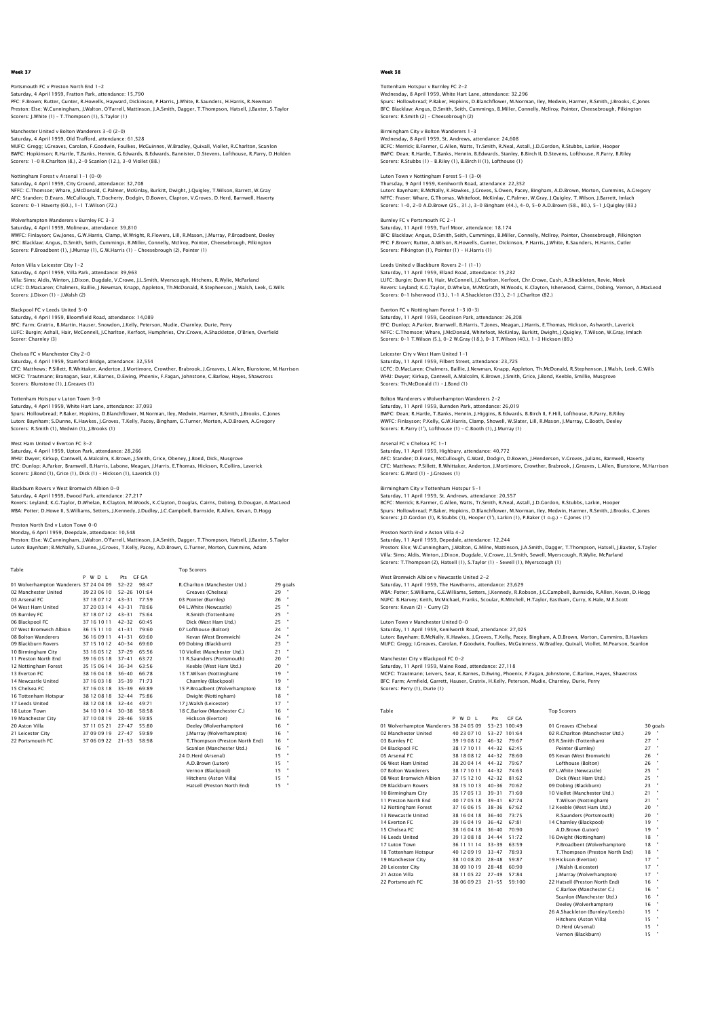## Portsmouth FC v Preston North End 1-2 Saturday, 4 April 1959, Fratton Park, attendance: 15,790<br>PFC: F.Brown; Rutter, Gunter, R.Howells, Hayward, Dickinson, P.Harris, J.White, R.Saunders, H.Harris, R.Newman<br>Preston: Else: W.Cunningham, J.Walton, O'Farrell, Matt Scorers: J.White (1) – T.Thompson (1), S.Taylor (1)

Manchester United v Bolton Wanderers 3-0 (2-0) Saturday, 4 April 1959, Old Trafford, attendance: 61,528 MUFC: Gregg; I.Greaves, Carolan, F.Goodwin, Foulkes, McGuinnes, W.Bradley, Quixall, Viollet, R.Charlton, Scanlon BWFC: Hopkinson; R.Hartle, T.Banks, Hennin, G.Edwards, B.Edwards, Bannister, D.Stevens, Lofthouse, R.Parry, D.Holden Scorers: 1-0 R.Charlton (8.), 2-0 Scanlon (12.), 3-0 Viollet (88.)

Nottingham Forest v Arsenal 1–1 (0–0)<br>Saturday, 4 April 1959, City Ground, attendance: 32,708<br>NFFC: C.Thomson; Whare, J.McDonald, C.Palmer, McKinlay, Burkitt, Dwight, J.Quigley, T.Wilson, Barrett, W.Gray AFC: Standen; D.Evans, McCullough, T.Docherty, Dodgin, D.Bowen, Clapton, V.Groves, D.Herd, Barnwell, Haverty Scorers: 0-1 Haverty (60.), 1-1 T.Wilson (72.)

# Wolverhampton Wanderers v Burnley FC 3-3

Saturday, 4 April 1959, Molineux, attendance: 39,810 WWFC: Finlayson; Gw.Jones, G.W.Harris, Clamp, W.Wright, R.Flowers, Lill, R.Mason, J.Murray, P.Broadbent, Deeley BFC: Blacklaw; Angus, D.Smith, Seith, Cummings, B.Miller, Connelly, McIlroy, Pointer, Cheesebrough, Pilkington<br>Scorers: P.Broadbent (1), J.Murray (1), G.W.Harris (1) – Cheesebrough (2), Pointer (1)

### Aston Villa v Leicester City 1-2

Saturday, 4 April 1959, Villa Park, attendance: 39,963 Villa: Sims; Aldis, Winton, J.Dixon, Dugdale, V.Crowe, J.L.Smith, Myerscough, Hitchens, R.Wylie, McParland LCFC: D.MacLaren; Chalmers, Baillie, J.Newman, Knapp, Appleton, Th.McDonald, R.Stephenson, J.Walsh, Leek, G.Wills Scorers: J.Dixon (1) – J.Walsh (2)

### Blackpool FC v Leeds United 3-0

Saturday, 4 April 1959, Bloomfield Road, attendance: 14,089 BFC: Farm; Gratrix, B.Martin, Hauser, Snowdon, J.Kelly, Peterson, Mudie, Charnley, Durie, Perry<br>LUFC: Burgin; Ashall, Hair, McConnell, J.Charlton, Kerfoot, Humphries, Chr.Crowe, A.Shackleton, O'Brien, Overfield<br>Scorer: Cha

Chelsea FC v Manchester City 2-0<br>Saturday, 4 April 1959, Stamford Bridge, attendance: 32.554 Saturday, 4 April 1959, Stamford Bridge, attendance: 32,554<br>CFC: Matthews; P.Sillett, R.Whittaker, Anderton, J.Mortimore, Crowther, Brabrook, J.Greaves, L.Allen, Blunstone, M.Harrison<br>MCFC: Trautmann; Branagan, Sear, K.Bar

#### Tottenham Hotspur v Luton Town 3-0

Saturday, 4 April 1959, White Hart Lane, attendance: 37,093 Spurs: Hollowbread; P.Baker, Hopkins, D.Blanchflower, M.Norman, Iley, Medwin, Harmer, R.Smith, J.Brooks, C.Jones Luton: Baynham; S.Dunne, K.Hawkes, J.Groves, T.Kelly, Pacey, Bingham, G.Turner, Morton, A.D.Brown, A.Gregory Scorers: R.Smith (1), Medwin (1), J.Brooks (1)

## West Ham United v Everton FC 3-2

Saturday, 4 April 1959, Upton Park, attendance: 28,266<br>WHU: Dwyer; Kirkup, Cantwell, A.Malcolm, K.Brown, J.Smith, Grice, Obeney, J.Bond, Dick, Musgrove<br>EFC: Dunlop; A.Parker, Bramwell, B.Harris, Labone, Meaqan, J.Harris, E Scorers: J.Bond (1), Grice (1), Dick (1) – Hickson (1), Laverick (1)

Blackburn Rovers v West Bromwich Albion 0–0<br>Saturday, 4 April 1959, Ewood Park, attendance: 27,217<br>Rovers: Leyland; K.G.Taylor, D.Whelan, R.Clayton, M.Woods, K.Clayton, Douglas, Cairns, Dobing, D.Dougan, A.MacLeod<br>WBA: Pot

Preston North End v Luton Town 0–0<br>Monday, 6 April 1959, Deepdale, attendance: 10,548<br>Preston: Else; W.Cunningham, J.Walton, O'Farrell, Mattinson, J.A.Smith, Dagger, T.Thompson, Hatsell, J.Baxter, S.Taylor<br>Puton: Baynham:

| Table                                  |             |                  |       | <b>Top Scorers</b>             |    |          |
|----------------------------------------|-------------|------------------|-------|--------------------------------|----|----------|
|                                        | PWDL        | Pts GF GA        |       |                                |    |          |
| 01 Wolverhampton Wanderers 37 24 04 09 |             | $52 - 22$        | 98:47 | R.Charlton (Manchester Utd.)   |    | 29 goals |
| 02 Manchester United                   | 39 23 06 10 | $52 - 26$ 101:64 |       | Greaves (Chelsea)              | 29 |          |
| 03 Arsenal FC                          | 37 18 07 12 | $43 - 31$        | 77:59 | 03 Pointer (Burnley)           | 26 |          |
| 04 West Ham United                     | 37 20 03 14 | $43 - 31$        | 78:66 | 04 L.White (Newcastle)         | 25 |          |
| 05 Burnley FC                          | 37 18 07 12 | $43 - 31$        | 75.64 | R.Smith (Tottenham)            | 25 |          |
| 06 Blackpool FC                        | 37 16 10 11 | $42 - 32$        | 60:45 | Dick (West Ham Utd.)           | 25 |          |
| 07 West Bromwich Albion                | 36 15 11 10 | $41 - 31$        | 79:60 | 07 Lofthouse (Bolton)          | 24 |          |
| 08 Bolton Wanderers                    | 36 16 09 11 | $41 - 31$        | 69:60 | Kevan (West Bromwich)          | 24 |          |
| 09 Blackburn Rovers                    | 37 15 10 12 | $40 - 34$        | 69:60 | 09 Dobing (Blackburn)          | 23 |          |
| 10 Birmingham City                     | 33 16 05 12 | $37 - 29$        | 65.56 | 10 Viollet (Manchester Utd.)   | 21 |          |
| 11 Preston North End                   | 39 16 05 18 | $37 - 41$        | 63:72 | 11 R.Saunders (Portsmouth)     | 20 |          |
| 12 Nottingham Forest                   | 35 15 06 14 | $36 - 34$        | 63:56 | Keeble (West Ham Utd.)         | 20 |          |
| 13 Everton EC                          | 38 16 04 18 | $36 - 40$        | 66:78 | 13 T.Wilson (Nottingham)       | 19 |          |
| 14 Newcastle United                    | 37 16 03 18 | $35 - 39$        | 71.73 | Charnley (Blackpool)           | 19 | ×        |
| 15 Chelsea EC                          | 37 16 03 18 | $35 - 39$        | 69:89 | 15 P.Broadbent (Wolverhampton) | 18 |          |
| 16 Tottenham Hotspur                   | 38 12 08 18 | $32 - 44$        | 75:86 | Dwight (Nottingham)            | 18 |          |
| 17 Leeds United                        | 38 12 08 18 | $32 - 44$        | 49:71 | 17 I.Walsh (Leicester)         | 17 |          |
| 18 Luton Town                          | 34 10 10 14 | $30 - 38$        | 58:58 | 18 C.Barlow (Manchester C.)    | 16 |          |
| 19 Manchester City                     | 37 10 08 19 | $28 - 46$        | 59.85 | Hickson (Everton)              | 16 |          |
| 20 Aston Villa                         | 37 11 05 21 | $27 - 47$        | 55:80 | Deeley (Wolverhampton)         | 16 |          |
| 21 Leicester City                      | 37 09 09 19 | $27 - 47$        | 59:89 | J.Murray (Wolverhampton)       | 16 |          |
| 22 Portsmouth FC                       | 37 06 09 22 | $21 - 53$        | 58:98 | T.Thompson (Preston North End) | 16 |          |
|                                        |             |                  |       | Scanlon (Manchester Utd.)      | 16 |          |
|                                        |             |                  |       | 24 D.Herd (Arsenal)            | 15 |          |
|                                        |             |                  |       | A.D.Brown (Luton)              | 15 |          |
|                                        |             |                  |       | Vernon (Blackpool)             | 15 |          |
|                                        |             |                  |       | Hitchens (Aston Villa)         | 15 |          |
|                                        |             |                  |       | Hatsell (Preston North End)    | 15 |          |

## Week 38

## Tottenham Hotspur v Burnley FC 2-2 Wednesday, 8 April 1959, White Hart Lane, attendance: 32,296<br>Spurs: Hollowbread; P.Baker, Hopkins, D.Blanchflower, M.Norman, Iley, Medwin, Harmer, R.Smith, J.Brooks, C.Jones<br>BFC: Blacklaw; Angus, D.Smith, Seith, Cummings, Scorers: R.Smith (2) – Cheesebrough (2)

Birmingham City v Bolton Wanderers 1-3 Wednesday, 8 April 1959, St. Andrews, attendance: 24,608 BCFC: Merrick; B.Farmer, G.Allen, Watts, Tr.Smith, R.Neal, Astall, J.D.Gordon, R.Stubbs, Larkin, Hooper BWFC: Dean; R.Hartle, T.Banks, Hennin, B.Edwards, Stanley, B.Birch II, D.Stevens, Lofthouse, R.Parry, B.Riley Scorers: R.Stubbs (1) – B.Riley (1), B.Birch II (1), Lofthouse (1)

Luton Town v Nottingham Forest 5-1 (3-0) non Town v Nottingham Forest 3–1<br>1959, Kenilworth Ro Luton: Baynham; B.McNally, K.Hawkes, J.Groves, S.Owen, Pacey, Bingham, A.D.Brown, Morton, Cummins, A.Gregory<br>NFFC: Fraser; Whare, G.Thomas, Whitefoot, McKinlay, C.Palmer, W.Gray, J.Quigley, T.Wilson, J.Barrett, Imlach<br>Scor

# Saturday, 11 April 1959, Turf Moor, attendance: 18.174

Burnley FC v Portsmouth FC 2-1

BFC: Blacklaw; Angus, D.Smith, Seith, Cummings, B.Miller, Connelly, McIlroy, Pointer, Cheesebrough, Pilkingtor<br>PFC: F.Brown; Rutter, A.Wilson, R.Howells, Gunter, Dickinson, P.Harris, J.White, R.Saunders, H.Harris, Cutler Scorers: Pilkington (1), Pointer (1) – H.Harris (1)

## Leeds United v Blackburn Rovers 2-1 (1-1)

Saturday, 11 April 1959, Elland Road, attendance: 15,232 LUFC: Burgin; Dunn III, Hair, McConnell, J.Charlton, Kerfoot, Chr.Crowe, Cush, A.Shackleton, Revie, Meek<br>Rovers: Leyland; K.G.Taylor, D.Whelan, M.McGrath, M.Woods, K.Clayton, Isherwood, Cairns, Dobing, Vernon, A.MacLeoc Scorers: 0-1 Isherwood (13.), 1-1 A.Shackleton (33.), 2-1 J.Charlton (82.)

## Everton FC v Nottingham Forest 1-3 (0-3)

Saturday, 11 April 1959, Goodison Park, attendance: 26,208 EFC: Dunlop; A.Parker, Bramwell, B.Harris, T.Jones, Meagan, J.Harris, E.Thomas, Hickson, Ashworth, Laverick<br>NFFC: C.Thomson; Whare, J.McDonald, Whitefoot, McKinlay, Burkitt, Dwight, J.Qujejey, T.Wilson, W.Gray, Imlach<br>Scor

### Leicester City v West Ham United 1-1

Saturday, 11 April 1959, Filbert Street, attendance: 23,725 LCFC: D.MacLaren; Chalmers, Baillie, J.Newman, Knapp, Appleton, Th.McDonald, R.Stephenson, J.Walsh, Leek, G.Wills<br>WHU: Dwyer; Kirkup, Cantwell, A.Malcolm, K.Brown, J.Smith, Grice, J.Bond, Keeble, Smillie, Musgrove<br>Scorers:

### Bolton Wanderers v Wolverhampton Wanderers 2-2

Saturday, 11 April 1959, Burnden Park, attendance: 26,019 BWFC: Dean; R.Hartle, T.Banks, Hennin, J.Higgins, B.Edwards, B.Birch II, F.Hill, Lofthouse, R.Parry, B.Riley<br>WWFC: Finlayson; P.Kelly, G.W.Harris, Clamp, Showell, W.Slater, Lill, R.Mason, J.Murray, C.Booth, Deeley<br>Scorers:

## Arsenal FC v Chelsea FC 1-1

Saturday, 11 April 1959, Highbury, attendance: 40,772<br>AFC: Standen; D.Evans, McCullough, G.Ward, Dodgin, D.Bowen, J.Henderson, V.Groves, Julians, Barnwell, Haverty<br>CFC: Matthews; P.Sillett, R.Whittaker, Anderton, J.Mortimo Scorers: G.Ward (1) – J.Greaves (1)

## City v Tottenham Hotspur 5-1

Saturday, 11 April 1959, St. Andrews, attendance: 20,557<br>BCFC: Merrick; B.Farmer, G.Allen, Watts, Tr.Smith, R.Neal, Astall, J.D.Gordon, R.Stubbs, Larkin, Hooper<br>Spurs: Hollowbread: P.Baker, Hopkins, D.Blanchflower, M.Norma Scorers: J.D.Gordon (1), R.Stubbs (1), Hooper (1'), Larkin (1), P.Baker (1 o.g.) – C.Jones (1')

# Preston North End v Aston Villa 4-2 Saturday, 11 April 1959, Depedale, attendance: 12,244

Preston: Else; W.Cunningham, J.Walton, G.Milne, Mattinson, J.A.Smith, Dagger, T.Thompson, Hatsell, J.Baxter, S.Taylor Villa: Sims; Aldis, Winton, J.Dixon, Dugdale, V.Crowe, J.L.Smith, Sewell, Myerscough, R.Wylie, McParland Scorers: T.Thompson (2), Hatsell (1), S.Taylor (1) – Sewell (1), Myerscough (1)

## West Bromwich Albion v Newcastle United 2-2

Saturday, 11 April 1959, The Hawthorns, attendance: 23,629 WBA: Potter; S.Williams, G.E.Williams, Setters, J.Kennedy, R.Robson, J.C.Campbell, Burnside, R.Allen, Kevan, D.Hogg NUFC: B.Harvey; Keith, McMichael, Franks, Scoular, R.Mitchell, H.Taylor, Eastham, Curry, K.Hale, M.E.Scott Scorers: Kevan (2) – Curry (2)

### Luton Town v Manchester United 0-0

Saturday, 11 April 1959, Kenilworth Road, attendance: 27,025

Luton: Baynham; B.McNally, K.Hawkes, J.Groves, T.Kelly, Pacey, Bingham, A.D.Brown, Morton, Cummins, B.Hawkes MUFC: Gregg; I.Greaves, Carolan, F.Goodwin, Foulkes, McGuinness, W.Bradley, Quixall, Viollet, M.Pearson, Scanlon

## Manchester City v Blackpool FC 0-2

Saturday, 11 April 1959, Maine Road, attendance: 27,118 MCFC: Trautmann; Leivers, Sear, K.Barnes, D.Ewing, Phoenix, F.Fagan, Johnstone, C.Barlow, Hayes, Shawcross<br>BFC: Farm; Armfield, Garrett, Hauser, Gratrix, H.Kelly, Peterson, Mudie, Charnley, Durie, Perry<br>Scorers: Perry (1),

|                                        | P | WD I        | Prs       | GE GA        |                                    |          |           |
|----------------------------------------|---|-------------|-----------|--------------|------------------------------------|----------|-----------|
| 01 Wolverhampton Wanderers 38 24 05 09 |   |             |           | 53-23 100:49 | 01 Greaves (Chelsea)               | 30 goals |           |
| 02 Manchester United                   |   | 40 23 07 10 |           | 53-27 101:64 | 02 R.Charlton (Manchester Utd.)    | 29       |           |
| 03 Burnley FC                          |   | 39 19 08 12 | $46 - 32$ | 79:67        | 27<br>03 R.Smith (Tottenham)       |          | ٠         |
| 04 Blackpool FC                        |   | 38 17 10 11 | $44 - 32$ | 62:45        | 27<br>Pointer (Burnley)            |          |           |
| 05 Arsenal FC                          |   | 38 18 08 12 | $44 - 32$ | 78:60        | 26<br>05 Kevan (West Bromwich)     |          | ٠         |
| 06 West Ham United                     |   | 38 20 04 14 | $44 - 32$ | 79:67        | 26<br>Lofthouse (Bolton)           |          |           |
| 07 Bolton Wanderers                    |   | 38 17 10 11 | $44 - 32$ | 74:63        | 07 L.White (Newcastle)             | 25       |           |
| 08 West Bromwich Albion                |   | 37 15 12 10 | $42 - 32$ | 81:62        | Dick (West Ham Utd.)               | 25       | ٠         |
| 09 Blackburn Rovers                    |   | 38 15 10 13 | $40 - 36$ | 70:62        | 23<br>09 Dobing (Blackburn)        |          |           |
| 10 Birmingham City                     |   | 35 17 05 13 | $39 - 31$ | 71:60        | 10 Viollet (Manchester Utd.)<br>21 |          |           |
| 11 Preston North End                   |   | 40 17 05 18 | $39 - 41$ | 67:74        | 21<br>T.Wilson (Nottingham)        |          | ۰         |
| 12 Nottingham Forest                   |   | 37 16 06 15 | $38 - 36$ | 67:62        | 12 Keeble (West Ham Utd.)          | 20       |           |
| 13 Newcastle United                    |   | 38 16 04 18 | $36 - 40$ | 73.75        | R.Saunders (Portsmouth)            | 20       |           |
| 14 Everton FC                          |   | 39 16 04 19 | $36 - 42$ | 67:81        | 14 Charnley (Blackpool)            | 19       | ٠         |
| 15 Chelsea EC                          |   | 38 16 04 18 | $36 - 40$ | 70:90        | A.D.Brown (Luton)                  | 19       |           |
| 16 Leeds United                        |   | 39 13 08 18 | $34 - 44$ | 51:72        | 16 Dwight (Nottingham)             | 18       |           |
| 17 Luton Town                          |   | 36 11 11 14 | $33 - 39$ | 63:59        | P.Broadbent (Wolverhampton)        | 18       | ٠         |
| 18 Tottenham Hotspur                   |   | 40 12 09 19 | $33 - 47$ | 78:93        | T.Thompson (Preston North End)     | 18       |           |
| 19 Manchester City                     |   | 38 10 08 20 | $28 - 48$ | 59:87        | 19 Hickson (Everton)               | 17       | $\bullet$ |
| 20 Leicester City                      |   | 38 09 10 19 | $28 - 48$ | 60:90        | 17<br>J.Walsh (Leicester)          |          | ٠         |
| 21 Aston Villa                         |   | 38 11 05 22 | $27 - 49$ | 57:84        | I.Murrav (Wolverhampton)<br>17     |          |           |
| 22 Portsmouth FC                       |   | 38 06 09 23 | $21 - 55$ | 59:100       | 22 Hatsell (Preston North End)     | 16       |           |
|                                        |   |             |           |              |                                    |          |           |

## Table Top Scorers

| 01 Greaves (Chelsea)            | 30 go |   |
|---------------------------------|-------|---|
| 02 R.Charlton (Manchester Utd.) | 29    |   |
| 03 R.Smith (Tottenham)          | 27    | ł |
| Pointer (Burnley)               | 27    | ł |
| 05 Kevan (West Bromwich)        | 26    | ł |
| Lofthouse (Bolton)              | 26    | ł |
| 07 L.White (Newcastle)          | 25    | 1 |
| Dick (West Ham Utd.)            | 25    | ł |
| 09 Dobing (Blackburn)           | 23    | ł |
| 10 Viollet (Manchester Utd.)    | 21    | ł |
| T.Wilson (Nottingham)           | 21    | ł |
| 12 Keeble (West Ham Utd.)       | 20    | ł |
| R.Saunders (Portsmouth)         | 20    | ł |
| 14 Charnley (Blackpool)         | 19    | ł |
| A.D.Brown (Luton)               | 19    | ł |
| 16 Dwight (Nottingham)          | 18    | ł |
| P.Broadbent (Wolverhampton)     | 18    | ł |
| T.Thompson (Preston North End)  | 18    | ł |
| 19 Hickson (Everton)            | 17    | 1 |
| J.Walsh (Leicester)             | 17    | ł |
| I.Murrav (Wolverhampton)        | 17    | ł |
| 22 Hatsell (Preston North End)  | 16    | ł |
| C.Barlow (Manchester C.)        | 16    | ł |
| Scanlon (Manchester Utd.)       | 16    | ł |
| Deeley (Wolverhampton)          | 16    | ł |
| 26 A.Shackleton (Burnley/Leeds) | 15    | ł |
| Hitchens (Aston Villa)          | 15    | ł |
| D.Herd (Arsenal)                | 15    | ł |
| Vernon (Blackburn)              | 15    | ł |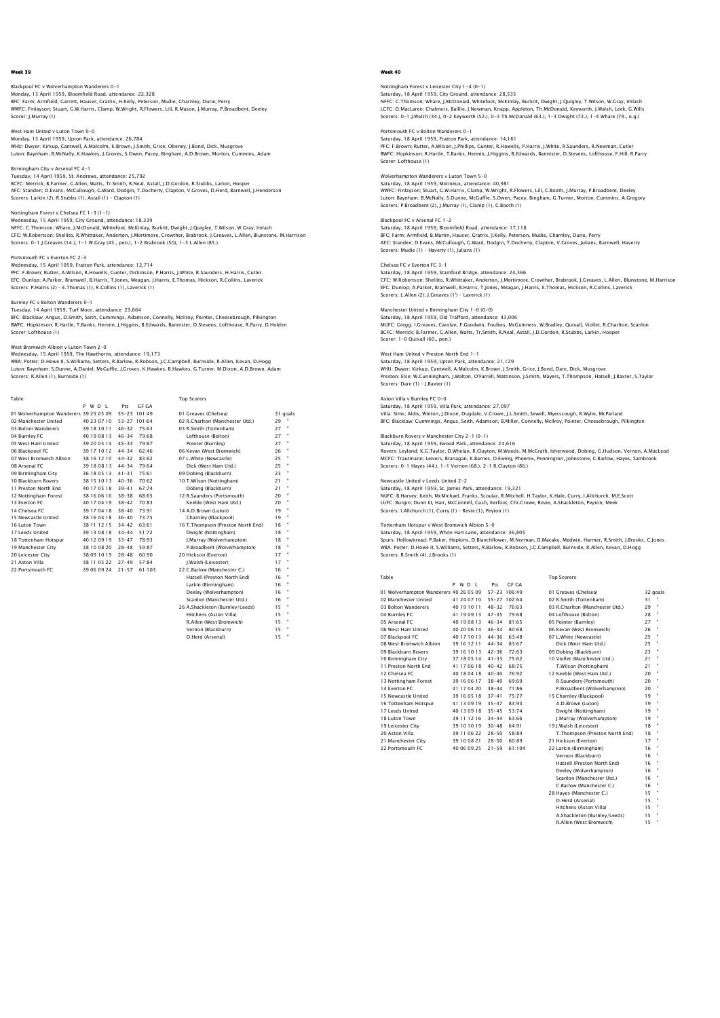## Blackpool FC v Wolverhampton Wanderers 0-1

Monday, 13 April 1959, Bloomfield Road, attendance: 22,328<br>BFC: Farm; Armfield, Garrett, Hauser, Gratrix, H.Kelly, Peterson, Mudie, Charnley, Durie, Perry<br>WWFC: Finlayson; Stuart, G.W.Harris, Clamp, W.Wright, R.Flowers, Li Scorer: J.Murray (1)

West Ham United v Luton Town 0–0<br>Monday, 13 April 1959, Upton Park, attendance: 26,784<br>WHU: Dwyer; Kirkup, Cantwell, A.Malcolm, K.Brown, J.Smith, Grice, Obeney, J.Bond, Dick, Musgrove<br>Luton: Baynham; B.McNally, K.Hawkes, J

# Birmingham City v Arsenal FC 4-1

Tuesday, 14 April 1959, St. Andrews, attendance: 25,792<br>BCFC: Merrick; B.Farmer, G.Allen, Watts, Tr.Smith, R.Neal, Astall, J.D.Gordon, R.Stubbs, Larkin, Hooper<br>AFC: Standen; D.Evans, McCullough, G.Ward, Dodgin, T.Docherty, Scorers: Larkin (2), R.Stubbs (1), Astall (1) – Clapton (1)

## Nottingham Forest v Chelsea FC 1-3 (1-1)

Wednesday, 15 April 1959, City Ground, attendance: 18,339 NFFC: C.Thomson; Whare, J.McDonald, Whitefoot, McKinlay, Burkitt, Dwight, J.Quigley, T.Wilson, W.Gray, Imlach CFC: W.Robertson; Shellito, R.Whittaker, Anderton, J.Mortimore, Crowther, Brabrook, J.Greaves, L.Allen, Blunstone, M.Harrison<br>Scorers: 0–1 J.Greaves (14.), 1–1 W.Gray (43., pen.), 1–2 Brabrook (50), 1–3 L.Allen (85.)

Portsmouth FC v Everton FC 2-3 Wednesday, 15 April 1959, Fratton Park, attendance: 12,714 PFC: F.Brown; Rutter, A.Wilson, R.Howells, Gunter, Dickinson, P.Harris, J.White, R.Saunders, H.Harris, Cutler EFC: Dunlop; A.Parker, Bramwell, B.Harris, T.Jones, Meagan, J.Harris, E.Thomas, Hickson, R.Collins, Laverick Scorers: P.Harris (2) – E.Thomas (1), R.Collins (1), Laverick (1)

## Burnley FC v Bolton Wanderers 0-1

Tuesday, 14 April 1959, Turf Moor, attendance: 23,664 BFC: Blacklaw; Angus, D.Smith, Seith, Cummings, Adamson, Connelly, McIlroy, Pointer, Cheesebrough, Pilkington<br>BWFC: Hopkinson; R.Hartle, T.Banks, Hennin, J.Higgins, B.Edwards, Bannister, D.Stevens, Lofthouse, R.Parry, D.Ho Scorer: Lofthouse (1)

#### West Bromwich Albion v Luton Town 2-0 Wednesday, 15 April 1959, The Hawthorns, attendance: 19,173

WBA: Potter; D.Howe II, S.Williams, Setters, R.Barlow, R.Robson, J.C.Campbell, Burnside, R.Allen, Kevan, D.Hogg Luton: Baynham; S.Dunne, A.Daniel, McGuffie, J.Groves, K.Hawkes, B.Hawkes, G.Turner, M.Dixon, A.D.Brown, Adam Scorers: R.Allen (1), Burnside (1)

| Table                                  |             |           |              | <b>Top Scorers</b>                |    |          |
|----------------------------------------|-------------|-----------|--------------|-----------------------------------|----|----------|
|                                        | P W D I     | Pts       | GE GA        |                                   |    |          |
| 01 Wolverhampton Wanderers 39 25 05 09 |             |           | 55-23 101:49 | 01 Greaves (Chelsea)              |    | 31 goals |
| 02 Manchester United                   | 40 23 07 10 |           | 53-27 101:64 | 02 R.Charlton (Manchester Utd.)   | 29 |          |
| 03 Bolton Wanderers                    | 39 18 10 11 | $46 - 32$ | 75:63        | 03 R.Smith (Tottenham)            | 27 |          |
| 04 Burnley FC                          | 40 19 08 13 | $46 - 34$ | 79:68        | Lofthouse (Bolton)                | 27 | ×        |
| 05 West Ham United                     | 39 20 05 14 | $45 - 33$ | 79.67        | Pointer (Burnley)                 | 27 |          |
| 06 Blackpool FC                        | 39 17 10 12 | $44 - 34$ | 62.46        | 06 Kevan (West Bromwich)          | 26 |          |
| 07 West Bromwich Albion                | 38 16 12 10 | $44 - 32$ | 83:62        | 07 L.White (Newcastle)            | 25 |          |
| 08 Arsenal FC                          | 39 18 08 13 | $44 - 34$ | 79:64        | Dick (West Ham Utd.)              | 25 |          |
| 09 Birmingham City                     | 36 18 05 13 | $41 - 31$ | 75:61        | 09 Dobing (Blackburn)             | 23 |          |
| 10 Blackburn Rovers                    | 38 15 10 13 | $40 - 36$ | 70.62        | 10 T.Wilson (Nottingham)          | 21 |          |
| 11 Preston North End                   | 40 17 05 18 | $39 - 41$ | 67.74        | Dobing (Blackburn)                | 21 |          |
| 12 Nottingham Forest                   | 38 16 06 16 | $38 - 38$ | 68:65        | 12 R.Saunders (Portsmouth)        | 20 |          |
| 13 Everton EC                          | 40 17 04 19 | $38 - 42$ | 70.83        | Keeble (West Ham Utd.)            | 20 |          |
| 14 Chelsea FC                          | 39 17 04 18 | $38 - 40$ | 73.91        | 14 A.D.Brown (Luton)              | 19 |          |
| 15 Newcastle United                    | 38 16 04 18 | $36 - 40$ | 73:75        | Charnley (Blackpool)              | 19 |          |
| 16 Luton Town                          | 38 11 12 15 | $34 - 42$ | 63:61        | 16 T.Thompson (Preston North End) | 18 |          |
| 17 Leeds United                        | 39 13 08 18 | $34 - 44$ | 51:72        | Dwight (Nottingham)               | 18 |          |
| 18 Tottenham Hotspur                   | 40 12 09 19 | $33 - 47$ | 78:93        | J.Murray (Wolverhampton)          | 18 |          |
| 19 Manchester City                     | 38 10 08 20 | $28 - 48$ | 59.87        | P.Broadbent (Wolverhampton)       | 18 |          |
| 20 Leicester City                      | 38 09 10 19 | $28 - 48$ | 60.90        | 20 Hickson (Everton)              | 17 |          |
| 21 Aston Villa                         | 38 11 05 22 | $27 - 49$ | 57:84        | I.Walsh (Leicester)               | 17 |          |
| 22 Portsmouth FC                       | 39 06 09 24 | $21 - 57$ | 61:103       | 22 C.Barlow (Manchester C.)       | 16 |          |
|                                        |             |           |              | Hatsell (Preston North End)       | 16 |          |
|                                        |             |           |              | Larkin (Birmingham)               | 16 |          |
|                                        |             |           |              | Deeley (Wolverhampton)            | 16 |          |
|                                        |             |           |              | Scanlon (Manchester Utd.)         | 16 |          |
|                                        |             |           |              | 26 A.Shackleton (Burnley/Leeds)   | 15 |          |
|                                        |             |           |              | Hitchens (Aston Villa)            | 15 |          |
|                                        |             |           |              | R.Allen (West Bromwich)           | 15 |          |
|                                        |             |           |              | Vernon (Blackburn)                | 15 |          |
|                                        |             |           |              | D.Herd (Arsenal)                  | 15 |          |

## Week 40

# Nottingham Forest v Leicester City 1-4 (0-1) Saturday, 18 April 1959, City Ground, attendance: 28,535<br>NFEC: C.Thomson; Whare, J.McDonald, Whitefoot, McKinlay, Burkitt, Dwight, J.Quigley, T.Wilson, W.Gray, Imlach<br>LCFC: D.MacLarer, Chalmers, Baillie, J.Newman, Knapp, A

Portsmouth FC v Bolton Wanderers 0-1

Saturday, 18 April 1959, Fratton Park, attendance: 14,161 PFC: F.Brown; Rutter, A.Wilson, J.Phillips, Gunter, R.Howells, P.Harris, J.White, R.Saunders, R.Newman, Cutler BWFC: Hopkinson; R.Hartle, T.Banks, Hennin, J.Higgins, B.Edwards, Bannister, D.Stevens, Lofthouse, F.Hill, R.Parry Scorer: Lofthouse (1)

Wolverhampton Wanderers v Luton Town 5–0<br>Saturday, 18 April 1959, Molineux, attendance: 40,981<br>WWFC: Finlayson; Stuart, G.W.Harris, Clamp, W.Wright, R.Flowers, Lill, C.Booth, J.Murray, P.Broadbent, Deeley Luton: Baynham; B.McNally, S.Dunne, McGuffie, S.Owen, Pacey, Bingham, G.Turner, Morton, Cummins, A.Gregory Scorers: P.Broadbent (2), J.Murray (1), Clamp (1), C.Booth (1)

## Blackpool FC v Arsenal FC 1-2

Saturday, 18 April 1959, Bloomfield Road, attendance: 17,118 BFC: Farm; Armfield, B.Martin, Hauser, Gratrix, J.Kelly, Peterson, Mudie, Charnley, Durie, Perry AFC: Standen; D.Evans, McCullough, G.Ward, Dodgin, T.Docherty, Clapton, V.Groves, Julians, Barnwell, Haverty Scorers: Mudie (1) – Haverty (1), Julians (1)

## Chelsea FC v Everton FC 3-1

Saturday, 18 April 1959, Stamford Bridge, attendance: 24,366 CFC: W.Robertson; Shellito, R.Whittaker, Anderton, J.Mortimore, Crowther, Brabrook, J.Greaves, L.Allen, Blunstone, M.Harrison EFC: Dunlop; A.Parker, Bramwell, B.Harris, T.Jones, Meagan, J.Harris, E.Thomas, Hickson, R.Collins, Laverick Scorers: L.Allen (2), J.Greaves (1') – Laverick (1)

## Manchester United v Birmingham City 1-0 (0-0)

Saturday, 18 April 1959, Old Trafford, attendance: 43,006 MUFC: Gregg; I.Greaves, Carolan, F.Goodwin, Foulkes, McGuinness, W.Bradley, Quixall, Viollet, R.Charlton, Scanlon BCFC: Merrick; B.Farmer, G.Allen, Watts, Tr.Smith, R.Neal, Astall, J.D.Gordon, R.Stubbs, Larkin, Hooper Scorer: 1-0 Quixall (60., pen.)

### West Ham United v Preston North End 1-1

Saturday, 18 April 1959, Upton Park, attendance: 21,129<br>WHU: Dwyer; Kirkup, Cantwell, A.Malcolm, K.Brown, J.Smith, Grice, J.Bond, Dare, Dick, Musgrove<br>Preston: Else; W.Cunningham, J.Walton, O'Farrell, Mattinson, J.Smith, M

## Aston Villa v Burnley FC 0-0

Saturday, 18 April 1959, Villa Park, attendance: 27,097 Villa: Sims; Aldis, Winton, J.Dixon, Dugdale, V.Crowe, J.L.Smith, Sewell, Myerscough, R.Wylie, McParland<br>BFC: Blacklaw; Cummings, Angus, Seith, Adamson, B.Miller, Connelly, McIlroy, Pointer, Cheesebrough, Pilkingtor

#### Blackburn Rovers v Manchester City 2-1 (0-1) Saturday, 18 April 1959, Ewood Park, attendance: 24,616

Rovers: Leyland; K.G.Taylor, D.Whelan, R.Clayton, M.Woods, M.McGrath, Isherwood, Dobing, G.Hudson, Vernon, A.MacLeoc<br>MCFC: Trautmann; Leivers, Branagan, K.Barnes, D.Ewing, Phoenix, Pennington, Johnstone, C.Barlow, Hayes, S

## Newcastle United v Leeds United 2-2

Saturday, 18 April 1959, St. James Park, attendance: 19,321<br>NUFC: B.Harvey; Keith, McMichael, Franks, Scoular, R.Mitchell, H.Taylor, K.Hale, Curry, I.Allchurch, M.E.Scotl<br>LUFC: Burgin; Dunn III, Hair, McConnell, Cush, Kerf Scorers: I.Allchurch (1), Curry (1) – Revie (1), Peyton (1)

Tottenham Hotspur v West Bromwich Albion 5–0<br>Saturday, 18 April 1959, White Hart Lane, attendance: 36,805<br>Spurs: Hollowbread; P.Baker, Hopkins, D.Blanchflower, M.Norman, D.Macaky, Medwin, Harmer, R.Smith, J.Brooks, C.Jones Scorers: R.Smith (4), J.Brooks (1)

 Table Top Scorers P W D L Pts GF GA 01 Wolverhampton Wanderers 40 26 05 09 57-23 106:49 01 Greaves (Chelsea) 32 goals 02 Manchester United 18 40 710 55-27 102:54 02 R.Smith Tottenham) 31 31<br>19 Manchester 19 10 11 48-32 76:63 03 R.Charlton (Manchester Utd.)<br>19 Marchester 19 40 19 09 13 47-35 79:68 04 Lofthouse (Bolton) 28<br>19 Arsenal FC 40 07 Blackpool FC (40 17 10 13 44-36 63:48 67 L.White (Newcastle) 25 19<br>19 Mest Bromwich Albion 39 16 12 11 44-34 83:67 10 Dick (West Ham Utd.) 25<br>10 Blackburn Rovers 39 16 10 13 42-36 72:63 09 Dobing (Blackburn) 23 19<br>10 Pi 12 Chelsea FC 40 18 04 18 40-40 76:92 12 Keeble (West Ham Utd.) 20 " 13 Nottingham Forest 39 16 06 17 38-40 69:69 R.Saunders (Portsmouth) 20 " 14 Everton FC 41 17 04 20 38-44 71:86 P.Broadbent (Wolverhampton) 20 " 15 Newcastle United 39 16 05 18 37-41 75:77 15 Charnley (Blackpool) 19 " 16 Tottenham Hotspur 41 13 09 19 35-47 83:93 A.D.Brown (Luton) 19 " 17 Leeds United 40 13 09 18 35-45 53:74 Dwight (Nottingham) 19 " 18 Luton Town 39 11 12 16 34-44 63:66 J.Murray (Wolverhampton) 19 " 19 Leicester City 39 10 10 19 30-48 64:91 19 J.Walsh (Leicester) 18 " 20 Aston Villa 39 11 06 22 28-50 58:84 T.Thompson (Preston North End) 18 " 21 Manchester City 39 10 08 21 28-50 60:89 21 Hickson (Everton) 17 " 22 Portsmouth FC 40 06 09 25 21-59 61:104

|   | 01 Greaves (Chelsea)            | 32 goal |   |
|---|---------------------------------|---------|---|
|   | 02 R.Smith (Tottenham)          | 31      |   |
|   | 03 R.Charlton (Manchester Utd.) | 29      |   |
|   | 04 Lofthouse (Bolton)           | 28      |   |
|   | 05 Pointer (Burnley)            | 27      |   |
|   | 06 Kevan (West Bromwich)        | 26      |   |
|   | 07 L.White (Newcastle)          | 25      |   |
|   | Dick (West Ham Utd.)            | 25      |   |
|   | 09 Dobing (Blackburn)           | 23      |   |
|   | 10 Viollet (Manchester Utd.)    | 21      |   |
|   | T.Wilson (Nottingham)           | 21      |   |
|   | 12 Keeble (West Ham Utd.)       | 20      |   |
|   | R.Saunders (Portsmouth)         | 20      |   |
|   | P.Broadbent (Wolverhampton)     | 20      |   |
|   | 15 Charnley (Blackpool)         | 19      |   |
|   | A.D.Brown (Luton)               | 19      |   |
|   | Dwight (Nottingham)             | 19      | ٠ |
|   | I.Murrav (Wolverhampton)        | 19      |   |
|   | 19 I.Walsh (Leicester)          | 18      |   |
|   | T.Thompson (Preston North End)  | 18      |   |
|   | 21 Hickson (Everton)            | 17      |   |
| i | 22 Larkin (Birmingham)          | 16      |   |
|   | Vernon (Blackburn)              | 16      |   |
|   | Hatsell (Preston North End)     | 16      |   |
|   | Deelev (Wolverhampton)          | 16      |   |
|   | Scanlon (Manchester Utd.)       | 16      |   |
|   | C.Barlow (Manchester C.)        | 16      |   |
|   | 28 Haves (Manchester C.)        | 15      |   |
|   | D.Herd (Arsenal)                | 15      |   |
|   | Hitchens (Aston Villa)          | 15      |   |
|   | A.Shackleton (Burnley/Leeds)    | 15      |   |
|   | R.Allen (West Bromwich)         | 15      |   |
|   |                                 |         |   |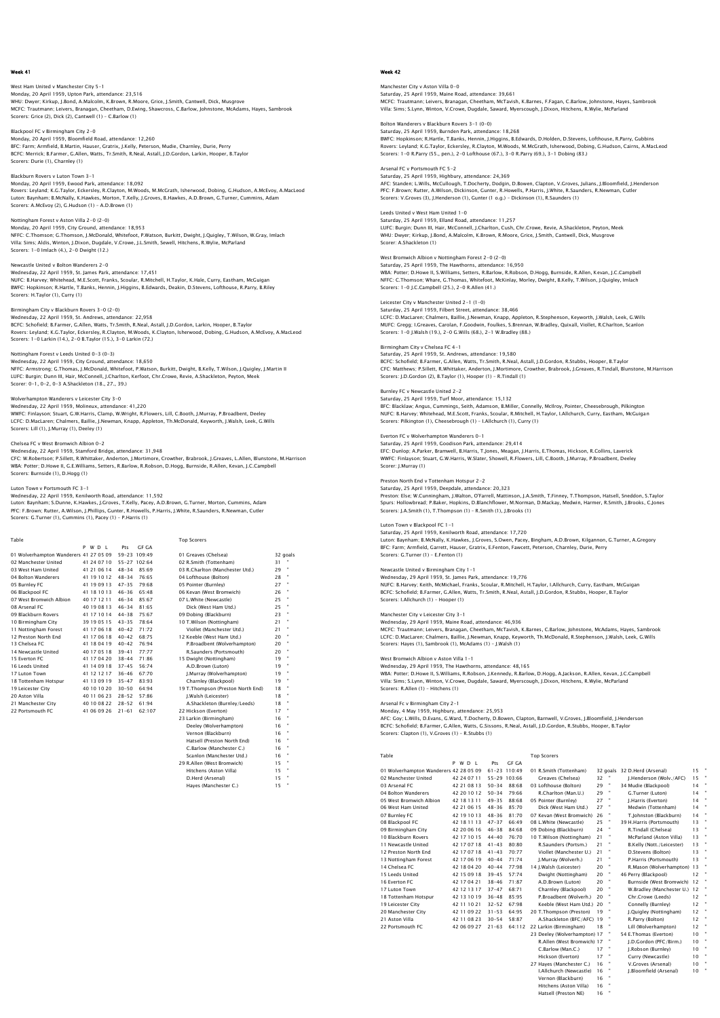## West Ham United v Manchester City 5-1 Monday, 20 April 1959, Upton Park, attendance: 23,516<br>WHU: Dwyer; Kirkup, J.Bond, A.Malcolm, K.Brown, R.Moore, Grice, J.Smith, Cantwell, Dick, Musgrove<br>MCFC: Trautmann; Leivers, Branaqan, Cheetham, D.Ewinq, Shawcross, C.Ba Scorers: Grice (2), Dick (2), Cantwell (1) – C.Barlow (1)

Blackpool FC v Birmingham City 2-0 Monday, 20 April 1959, Bloomfield Road, attendance: 12,260 BFC: Farm; Armfield, B.Martin, Hauser, Gratrix, J.Kelly, Peterson, Mudie, Charnley, Durie, Perry BCFC: Merrick; B.Farmer, G.Allen, Watts, Tr.Smith, R.Neal, Astall, J.D.Gordon, Larkin, Hooper, B.Taylor Scorers: Durie (1), Charnley (1)

### Blackburn Rovers v Luton Town 3-1

Monday, 20 April 1959, Ewood Park, attendance: 18,092 Rovers: Leyland; K.G.Taylor, Eckersley, R.Clayton, M.Woods, M.McGrath, Isherwood, Dobing, G.Hudson, A.McEvoy, A.MacLeod Luton: Baynham; B.McNally, K.Hawkes, Morton, T.Kelly, J.Groves, B.Hawkes, A.D.Brown, G.Turner, Cummins, Adam Scorers: A.McEvoy (2), G.Hudson (1) – A.D.Brown (1)

# Nottingham Forest v Aston Villa 2-0 (2-0)

Monday, 20 April 1959, City Ground, attendance: 18,953 NFFC: C.Thomson; G.Thomson, J.McDonald, Whitefoot, P.Watson, Burkitt, Dwight, J.Quigley, T.Wilson, W.Gray, Imlach Villa: Sims; Aldis, Winton, J.Dixon, Dugdale, V.Crowe, J.L.Smith, Sewell, Hitchens, R.Wylie, McParland Scorers: 1-0 Imlach (4.), 2-0 Dwight (12.)

## Newcastle United v Bolton Wanderers 2-0

Wednesday, 22 April 1959, St. James Park, attendance: 17,451 NUFC: B.Harvey; Whitehead, M.E.Scott, Franks, Scoular, R.Mitchell, H.Taylor, K.Hale, Curry, Eastham, McGuigan BWFC: Hopkinson; R.Hartle, T.Banks, Hennin, J.Higgins, B.Edwards, Deakin, D.Stevens, Lofthouse, R.Parry, B.Riley Scorers: H.Taylor (1), Curry (1)

#### Birmingham City v Blackburn Rovers 3-0 (2-0)

Wednesday, 22 April 1959, St. Andrews, attendance: 22,958 BCFC: Schofield; B.Farmer, G.Allen, Watts, Tr.Smith, R.Neal, Astall, J.D.Gordon, Larkin, Hooper, B.Taylor<br>Rovers: Leyland; K.G.Taylor, Eckersley, R.Clayton, M.Woods, K.Clayton, Isherwood, Dobing, G.Hudson, A.McEvoy, A.MacL

## Nottingham Forest v Leeds United 0-3 (0-3)

Wednesday, 22 April 1959, City Ground, attendance: 18,650 NFFC: Armstrong; G.Thomas, J.McDonald, Whitefoot, P.Watson, Burkitt, Dwight, B.Kelly, T.Wilson, J.Quigley, J.Martin II LUFC: Burgin; Dunn III, Hair, McConnell, J.Charlton, Kerfoot, Chr.Crowe, Revie, A.Shackleton, Peyton, Meek Scorer: 0-1, 0-2, 0-3 A.Shackleton (18., 27., 39.)

#### Wolverhampton Wanderers v Leicester City 3-0

Wednesday, 22 April 1959, Molineux, attendance: 41,220 WWFC: Finlayson; Stuart, G.W.Harris, Clamp, W.Wright, R.Flowers, Lill, C.Booth, J.Murray, P.Broadbent, Deeley LCFC: D.MacLaren; Chalmers, Baillie, J.Newman, Knapp, Appleton, Th.McDonald, Keyworth, J.Walsh, Leek, G.Wills Scorers: Lill (1), J.Murray (1), Deeley (1)

# Chelsea FC v West Bromwich Albion 0-2

Wednesday, 22 April 1959, Stamford Bridge, attendance: 31,948<br>CFC: W.Robertson; P.Sillett, R.Whittaker, Anderton, J.Mortimore, Crowther, Brabrook, J.Greaves, L.Allen, Blunstone, M.Harrison<br>WBA: Potter: D.Howe II, G.E.Willi Scorers: Burnside (1), D.Hogg (1)

### on Town v Portsmouth FC 3-1

Wednesday, 22 April 1959, Kenilworth Road, attendance: 11,592<br>Luton: Baynham; S.Dunne, K.Hawkes, J.Groves, T.Kelly, Pacey, A.D.Brown, G.Turner, Morton, Cummins, Adam<br>PFC: F.Brown; Rutter, A.Wilson, J.Phillips, Gunter, R.Ho

| Table                                  |             |           |              | <b>Top Scorers</b>                |    |          |
|----------------------------------------|-------------|-----------|--------------|-----------------------------------|----|----------|
|                                        | P W D I     | Pts       | GE GA        |                                   |    |          |
| 01 Wolverhampton Wanderers 41 27 05 09 |             |           | 59-23 109:49 | 01 Greaves (Chelsea)              |    | 32 goals |
| 02 Manchester United                   | 41 24 07 10 |           | 55-27 102:64 | 02 R.Smith (Tottenham)            | 31 |          |
| 03 West Ham United                     | 41 21 06 14 | $48 - 34$ | 85:69        | 03 R.Charlton (Manchester Utd.)   | 29 |          |
| 04 Bolton Wanderers                    | 41 19 10 12 | $48 - 34$ | 76:65        | 04 Lofthouse (Bolton)             | 28 |          |
| 05 Burnley FC                          | 41 19 09 13 | $47 - 35$ | 79:68        | 05 Pointer (Burnley)              | 27 |          |
| 06 Blackpool FC                        | 41 18 10 13 | $46 - 36$ | 65:48        | 06 Kevan (West Bromwich)          | 26 |          |
| 07 West Bromwich Albion                | 40 17 12 11 | $46 - 34$ | 85.67        | 07 L.White (Newcastle)            | 25 |          |
| 08 Arsenal FC                          | 40 19 08 13 | $46 - 34$ | 81:65        | Dick (West Ham Utd.)              | 25 |          |
| 09 Blackburn Rovers                    | 41 17 10 14 | $44 - 38$ | 75:67        | 09 Dobing (Blackburn)             | 23 |          |
| 10 Birmingham City                     | 39 19 05 15 | $43 - 35$ | 78:64        | 10 T.Wilson (Nottingham)          | 21 |          |
| 11 Nottingham Forest                   | 41 17 06 18 | $40 - 42$ | 71:72        | Viollet (Manchester Utd.)         | 21 |          |
| 12 Preston North End                   | 41 17 06 18 | $40 - 42$ | 68:75        | 12 Keeble (West Ham Utd.)         | 20 |          |
| 13 Chelsea EC                          | 41 18 04 19 | $40 - 42$ | 76:94        | P.Broadbent (Wolverhampton)       | 20 |          |
| 14 Newcastle United                    | 40 17 05 18 | $39 - 41$ | 77:77        | R.Saunders (Portsmouth)           | 20 |          |
| 15 Everton EC                          | 41 17 04 20 | $38 - 44$ | 71:86        | 15 Dwight (Nottingham)            | 19 |          |
| 16 Leeds United                        | 41 14 09 18 | $37 - 45$ | 56:74        | A.D.Brown (Luton)                 | 19 |          |
| 17 Luton Town                          | 41 12 12 17 | $36 - 46$ | 67:70        | J.Murray (Wolverhampton)          | 19 | ×        |
| 18 Tottenham Hotspur                   | 41 13 09 19 | $35 - 47$ | 83:93        | Charnley (Blackpool)              | 19 |          |
| 19 Leicester City                      | 40 10 10 20 | $30 - 50$ | 64:94        | 19 T.Thompson (Preston North End) | 18 |          |
| 20 Aston Villa                         | 40 11 06 23 | $28 - 52$ | 57:86        | I.Walsh (Leicester)               | 18 |          |
| 21 Manchester City                     | 40 10 08 22 | $28 - 52$ | 61:94        | A.Shackleton (Burnley/Leeds)      | 18 |          |
| 22 Portsmouth FC                       | 41 06 09 26 | $21 - 61$ | 62:107       | 22 Hickson (Everton)              | 17 |          |
|                                        |             |           |              | 23 Larkin (Birmingham)            | 16 |          |
|                                        |             |           |              | Deeley (Wolverhampton)            | 16 |          |
|                                        |             |           |              | Vernon (Blackburn)                | 16 |          |
|                                        |             |           |              | Hatsell (Preston North End)       | 16 |          |
|                                        |             |           |              | C.Barlow (Manchester C.)          | 16 |          |
|                                        |             |           |              | Scanlon (Manchester Utd.)         | 16 |          |
|                                        |             |           |              | 29 R.Allen (West Bromwich)        | 15 |          |
|                                        |             |           |              | Hitchens (Aston Villa)            | 15 |          |
|                                        |             |           |              | D.Herd (Arsenal)                  | 15 |          |

 Hitchens (Aston Villa) 15 " D.Herd (Arsenal) 15 " Hayes (Manchester C.) 15 "

## Week 42

Manchester City v Aston Villa 0-0 Saturday, 25 April 1959, Maine Road, attendance: 39,661<br>MCFC: Trautmann; Leivers, Branagan, Cheetham, McTavish, K.Barnes, F.Fagan, C.Barlow, Johnstone, Hayes, Sambrook<br>Villa: Sims; S.Lynn, Winton, V.Crowe, Duqdale, Saward,

Bolton Wanderers v Blackburn Rovers 3-1 (0-0) Saturday, 25 April 1959, Burnden Park, attendance: 18,268<br>BWFC: Hopkinson; R.Hartle, T.Banks, Hennin, J.Higgins, B.Edwards, D.Holden, D.Stevens, Lofthouse, R.Parry, Gubbins<br>Rovers: Leyland; K.G.Taylor, Eckersley, R.Clayton

Arsenal FC v Portsmouth FC 5-2 Saturday, 25 April 1959, Highbury, attendance: 24,369 AFC: Standen; L.Wills, McCullough, T.Docherty, Dodgin, D.Bowen, Clapton, V.Groves, Julians, J.Bloomfield, J.Henderson PFC: F.Brown; Rutter, A.Wilson, Dickinson, Gunter, R.Howells, P.Harris, J.White, R.Saunders, R.Newman, Cutler<br>Scorers: V.Groves (3), J.Henderson (1), Gunter (1 o.g.) – Dickinson (1), R.Saunders (1)

Leeds United v West Ham United 1-0 Saturday, 25 April 1959, Elland Road, attendance: 11,257 LUFC: Burgin; Dunn III, Hair, McConnell, J.Charlton, Cush, Chr.Crowe, Revie, A.Shackleton, Peyton, Meek WHU: Dwyer; Kirkup, J.Bond, A.Malcolm, K.Brown, R.Moore, Grice, J.Smith, Cantwell, Dick, Musgrove Scorer: A.Shackleton (1)

West Bromwich Albion v Nottingham Forest 2-0 (2-0) Saturday, 25 April 1959, The Hawthorns, attendance: 16,950 WBA: Potter; D.Howe II, S.Williams, Setters, R.Barlow, R.Robson, D.Hogg, Burnside, R.Allen, Kevan, J.C.Campbell NFFC: C.Thomson; Whare, G.Thomas, Whitefoot, McKinlay, Morley, Dwight, B.Kelly, T.Wilson, J.Quigley, Imlach Scorers: 1-0 J.C.Campbell (25.), 2-0 R.Allen (41.)

## Leicester City v Manchester United 2-1 (1-0) Saturday, 25 April 1959, Filbert Street, attendance: 38,466

LCFC: D.MacLaren; Chalmers, Baillie, J.Newman, Knapp, Appleton, R.Stephenson, Keyworth, J.Walsh, Leek, G.Wills MUFC: Gregg; I.Greaves, Carolan, F.Goodwin, Foulkes, S.Brennan, W.Bradley, Quixall, Viollet, R.Charlton, Scanlon Scorers: 1-0 J.Walsh (19.), 2-0 G.Wills (68.), 2-1 W.Bradley (88.)

## Birmingham City v Chelsea FC 4-1

Saturday, 25 April 1959, St. Andrews, attendance: 19,580 BCFC: Schofield; B.Farmer, G.Allen, Watts, Tr.Smith, R.Neal, Astall, J.D.Gordon, R.Stubbs, Hooper, B.Taylor<br>CFC: Matthews; P.Sillett, R.Whittaker, Anderton, J.Mortimore, Crowther, Brabrook, J.Greaves, R.Tindall, Blunstone, Scorers: J.D.Gordon (2), B.Taylor (1), Hooper (1) – R.Tindall (1)

### Burnley FC v Newcastle United 2-2

Saturday, 25 April 1959, Turf Moor, attendance: 15,132 BFC: Blacklaw; Angus, Cummings, Seith, Adamson, B.Miller, Connelly, McIlroy, Pointer, Cheesebrough, Pilkington<br>NUFC: B.Harvey; Whitehead, M.E.Scott, Franks, Scoular, R.Mitchell, H.Taylor, I.Allchurch, Curry, Eastham, McGui

### Everton FC v Wolverhampton Wanderers 0-1

Saturday, 25 April 1959, Goodison Park, attendance: 29,414 EFC: Dunlop; A.Parker, Bramwell, B.Harris, T.Jones, Meagan, J.Harris, E.Thomas, Hickson, R.Collins, Laverick<br>WWFC: Finlayson; Stuart, G.W.Harris, W.Slater, Showell, R.Flowers, Lill, C.Booth, J.Murray, P.Broadbent, Deeley<br>S

## Preston North End v Tottenham Hotspur 2-2

Saturday, 25 April 1959, Deepdale, attendance: 20,323<br>Preston: Else, W.Cunningham, J.Walton, O'Farrell, Mattinson, J.A.Smith, T.Finney, T.Thompson, Hatsell, Sneddon, S.Taylor<br>Spurs: Hollowbread; P.Baker, Hopkins, D.Blanchf

### Luton Town v Blackpool FC 1-1

Saturday, 25 April 1959, Kenilworth Road, attendance: 17,720 Luton: Baynham; B.McNally, K.Hawkes, J.Groves, S.Owen, Pacey, Bingham, A.D.Brown, Kilgannon, G.Turner, A.Gregory BFC: Farm; Armfield, Garrett, Hauser, Gratrix, E.Fenton, Fawcett, Peterson, Charnley, Durie, Perry Scorers: G.Turner (1) – E.Fenton (1)

Newcastle United v Birmingham City 1–1<br>Wednesday, 29 April 1959, St. James Park, attendance: 19,776<br>NUFC: B.Harvey: Keith, McMichael, Franks, Scoular, R.Mitchell, H.Taylor, I.Allchurch, Curry, Eastham, McGuigar<br>BCFC: Schof Scorers: I.Allchurch (1) – Hooper (1)

Manchester City v Leicester City 3–1<br>Wednesday, 29 April 1959, Maine Road, attendance: 46,936<br>MCFC: Trautmann; Leivers, Branagan, Cheetham, McTavish, K.Barnes, C.Barlow, Johnstone, McAdams, Hayes, Sambrook LCFC: D.MacLaren; Chalmers, Baillie, J.Newman, Knapp, Keyworth, Th.McDonald, R.Stephenson, J.Walsh, Leek, G.Wills Scorers: Hayes (1), Sambrook (1), McAdams (1) – J.Walsh (1)

#### West Bromwich Albion v Aston Villa 1-1 Wednesday, 29 April 1959, The Hawthorns, attendance: 48,165

WBA: Potter; D.Howe II, S.Williams, R.Robson, J.Kennedy, R.Barlow, D.Hogg, A.Jackson, R.Allen, Kevan, J.C.Campbell<br>Villa: Sims; S.Lynn, Winton, V.Crowe, Dugdale, Saward, Myerscough, J.Dixon, Hitchens, R.Wylie, McParland<br>Sc

#### Arsenal Fc v Birmingham City 2-1

Monday, 4 May 1959, Highbury, attendance: 25,953<br>AFC: Goy: L.Wills, D.Evans, G.Ward, T.Docherty, D.Bowen, Clapton, Barnwell, V.Groves, J.Bloomfield, J.Hendersor<br>BCF: Schofield: B.Farmer, G.Allen, Wats, G.Sissons, R.Neal, A

| Table                                  |             |           |                  | <b>Top Scorers</b>           |    |   |                              |    |   |
|----------------------------------------|-------------|-----------|------------------|------------------------------|----|---|------------------------------|----|---|
|                                        | PWDL        | Pts       | <b>GF GA</b>     |                              |    |   |                              |    |   |
| 01 Wolverhampton Wanderers 42 28 05 09 |             |           | $61 - 23$ 110:49 | 01 R.Smith (Tottenham)       |    |   | 32 goals 32 D.Herd (Arsenal) | 15 | × |
| 02 Manchester United                   | 42 24 07 11 |           | 55-29 103:66     | Greaves (Chelsea)            | 32 | × | I.Henderson (Wolv./AFC)      | 15 |   |
| 03 Arsenal FC                          | 42 21 08 13 | $50 - 34$ | 88:68            | 03 Lofthouse (Bolton)        | 29 | × | 34 Mudie (Blackpool)         | 14 | × |
| 04 Bolton Wanderers                    | 42 20 10 12 | $50 - 34$ | 79.66            | R.Charlton (Man.U.)          | 29 |   | G.Turner (Luton)             | 14 | × |
| 05 West Bromwich Albion                | 42 18 13 11 | $49 - 35$ | 88.68            | 05 Pointer (Burnley)         | 27 |   | I.Harris (Everton)           | 14 |   |
| 06 West Ham United                     | 42 21 06 15 | $48 - 36$ | 85:70            | Dick (West Ham Utd.)         | 27 | × | Medwin (Tottenham)           | 14 | × |
| 07 Burnley FC                          | 42 19 10 13 | $48 - 36$ | 81:70            | 07 Kevan (West Bromwich)     | 26 |   | T.Johnston (Blackburn)       | 14 |   |
| 08 Blackpool FC                        | 42 18 11 13 | $47 - 37$ | 66:49            | 08 L.White (Newcastle)       | 25 |   | 39 H.Harris (Portsmouth)     | 13 | × |
| 09 Birmingham City                     | 42 20 06 16 | $46 - 38$ | 84.68            | 09 Dobing (Blackburn)        | 24 | × | R.Tindall (Chelsea)          | 13 | × |
| 10 Blackburn Rovers                    | 42 17 10 15 | $44 - 40$ | 76:70            | 10 T.Wilson (Nottingham)     | 21 |   | McParland (Aston Villa)      | 13 | × |
| 11 Newcastle United                    | 42 17 07 18 | $41 - 43$ | 80:80            | R.Saunders (Portsm.)         | 21 |   | B.Kelly (Nott./Leicester)    | 13 | × |
| 12 Preston North End                   | 42 17 07 18 | $41 - 43$ | 70.77            | Viollet (Manchester U.)      | 21 |   | D.Stevens (Bolton)           | 13 |   |
| 13 Nottingham Forest                   | 42 17 06 19 | $40 - 44$ | 71:74            | I.Murrav (Wolverh.)          | 21 |   | P.Harris (Portsmouth)        | 13 |   |
| 14 Chelsea EC                          | 42 18 04 20 | $40 - 44$ | 77:98            | 14 J.Walsh (Leicester)       | 20 |   | R.Mason (Wolverhampton)      | 13 |   |
| 15 Leeds United                        | 42 15 09 18 | $39 - 45$ | 57.74            | Dwight (Nottingham)          | 20 |   | 46 Perry (Blackpool)         | 12 |   |
| 16 Everton FC                          | 42 17 04 21 | $38 - 46$ | 71:87            | A.D.Brown (Luton)            | 20 | × | Burnside (West Bromwich)     | 12 |   |
| 17 Luton Town                          | 42 12 13 17 | $37 - 47$ | 68:71            | Charnley (Blackpool)         | 20 |   | W.Bradley (Manchester U.) 12 |    | × |
| 18 Tottenham Hotspur                   | 42 13 10 19 | $36 - 48$ | 85:95            | P.Broadbent (Wolverh.)       | 20 |   | Chr.Crowe (Leeds)            | 12 | × |
| 19 Leicester City                      | 42 11 10 21 | $32 - 52$ | 67.98            | Keeble (West Ham Utd.) 20    |    |   | Connelly (Burnley)           | 12 |   |
| 20 Manchester City                     | 42 11 09 22 | $31 - 53$ | 64:95            | 20 T.Thompson (Preston)      | 19 |   | J.Quigley (Nottingham)       | 12 | × |
| 21 Aston Villa                         | 42 11 08 23 | $30 - 54$ | 58:87            | A.Shackleton (BFC/AFC) 19    |    |   | R.Parry (Bolton)             | 12 |   |
| 22 Portsmouth EC                       | 42 06 09 27 | $21 - 63$ | 64:112           | 22 Larkin (Birmingham)       | 18 |   | Lill (Wolverhampton)         | 12 |   |
|                                        |             |           |                  | 23 Deeley (Wolverhampton) 17 |    | × | 54 E.Thomas (Everton)        | 10 |   |
|                                        |             |           |                  | R.Allen (West Bromwich) 17   |    |   | J.D.Gordon (PFC/Birm.)       | 10 | × |
|                                        |             |           |                  | C.Barlow (Man.C.)            | 17 |   | J.Robson (Burnley)           | 10 | × |
|                                        |             |           |                  | Hickson (Everton)            | 17 |   | Curry (Newcastle)            | 10 |   |
|                                        |             |           |                  | 27 Haves (Manchester C.)     | 16 |   | V.Groves (Arsenal)           | 10 | × |
|                                        |             |           |                  | I.Allchurch (Newcastle)      | 16 |   | J.Bloomfield (Arsenal)       | 10 |   |
|                                        |             |           |                  | Vernon (Blackburn)           | 16 |   |                              |    |   |
|                                        |             |           |                  | Hitchens (Aston Villa)       | 16 |   |                              |    |   |
|                                        |             |           |                  | Hatsell (Preston NE)         | 16 |   |                              |    |   |